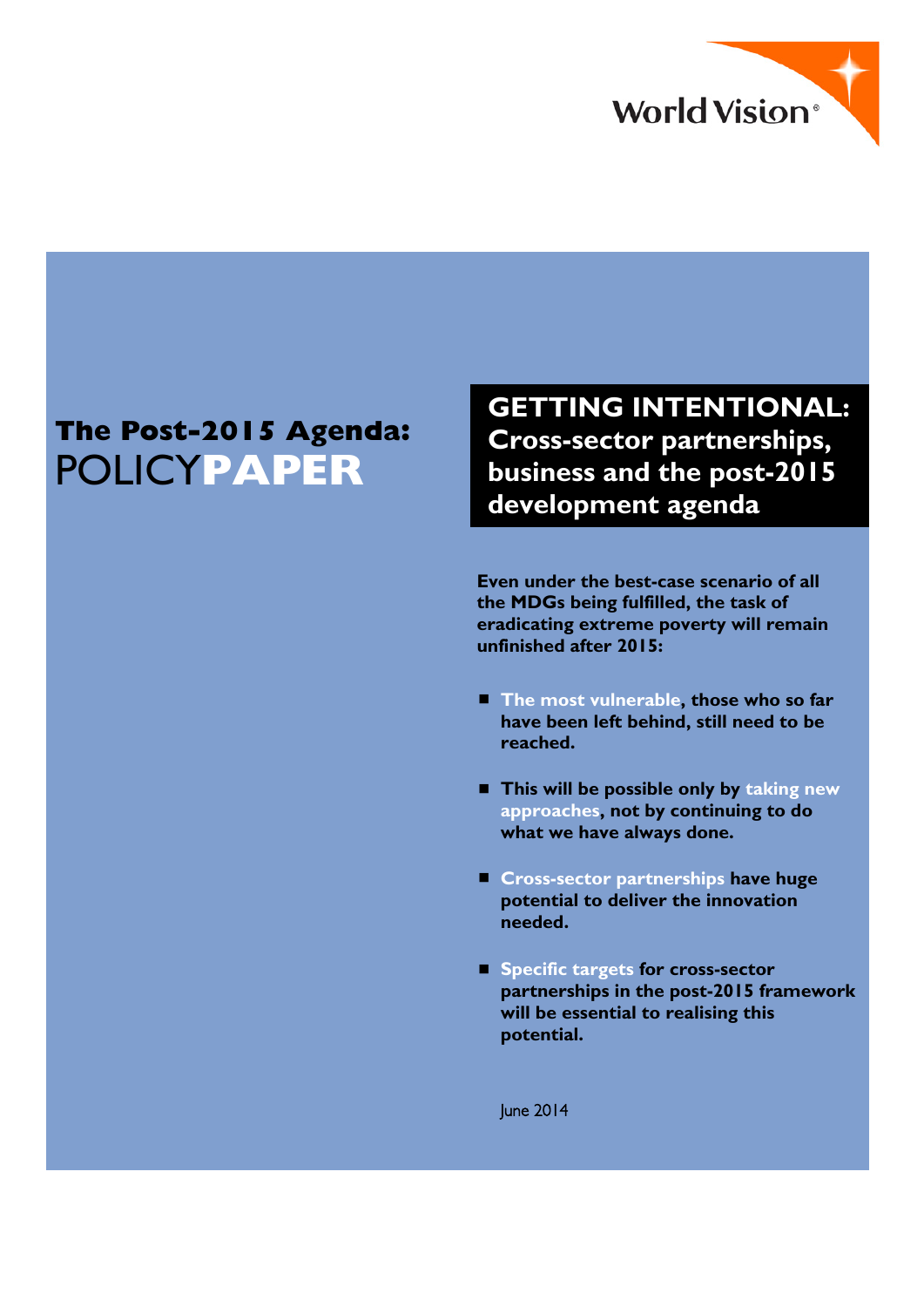

# **The Post-2015 Agenda:**  POLICY**PAPER**

**GETTING INTENTIONAL: Cross-sector partnerships, business and the post-2015 development agenda**

**Even under the best-case scenario of all the MDGs being fulfilled, the task of eradicating extreme poverty will remain unfinished after 2015:** 

- The most vulnerable, those who so far **have been left behind, still need to be reached.**
- **This will be possible only by taking new approaches, not by continuing to do what we have always done.**
- **Cross-sector partnerships have huge potential to deliver the innovation needed.**
- **Specific targets for cross-sector partnerships in the post-2015 framework will be essential to realising this potential.**

June 2014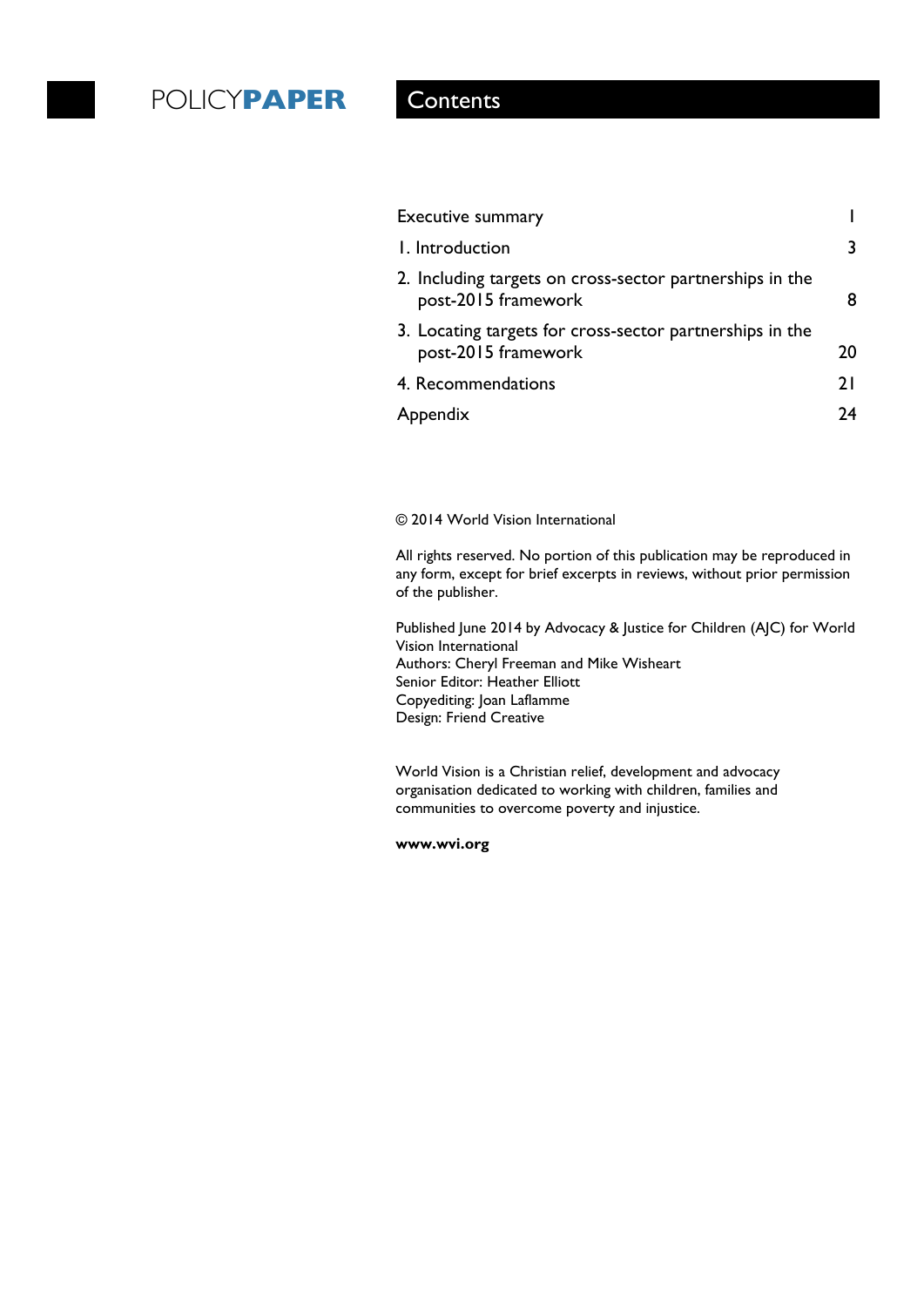# POLICY**PAPER** Contents

| <b>Executive summary</b>                                                        |    |
|---------------------------------------------------------------------------------|----|
| I. Introduction                                                                 | 3  |
| 2. Including targets on cross-sector partnerships in the<br>post-2015 framework | 8  |
| 3. Locating targets for cross-sector partnerships in the<br>post-2015 framework | 20 |
| 4. Recommendations                                                              | 21 |
| Appendix                                                                        | 74 |
|                                                                                 |    |

© 2014 World Vision International

All rights reserved. No portion of this publication may be reproduced in any form, except for brief excerpts in reviews, without prior permission of the publisher.

Published June 2014 by Advocacy & Justice for Children (AJC) for World Vision International Authors: Cheryl Freeman and Mike Wisheart Senior Editor: Heather Elliott Copyediting: Joan Laflamme Design: Friend Creative

World Vision is a Christian relief, development and advocacy organisation dedicated to working with children, families and communities to overcome poverty and injustice.

**www.wvi.org**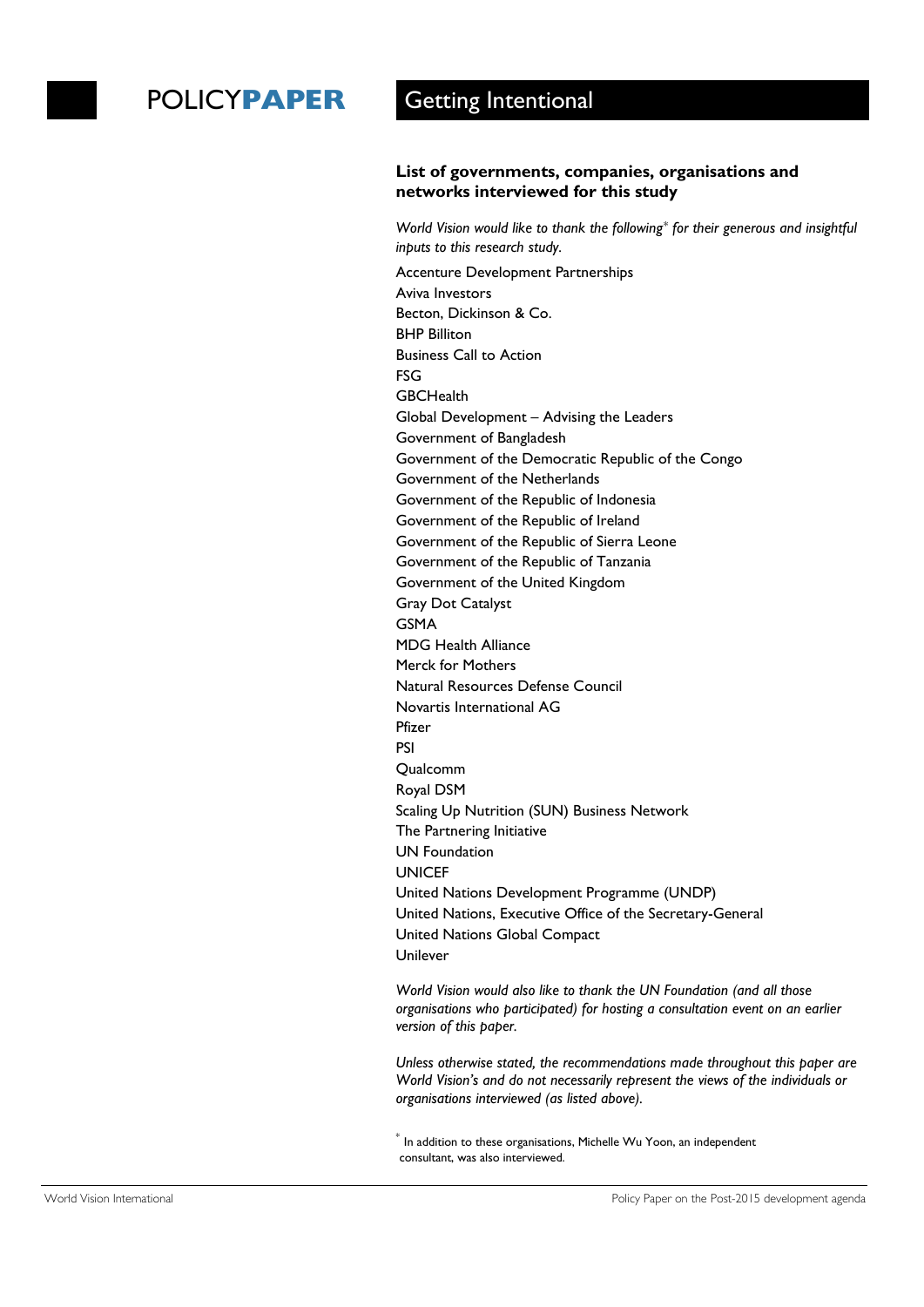### **List of governments, companies, organisations and networks interviewed for this study**

*World Vision would like to thank the following*[\\*](#page-2-0) *for their generous and insightful inputs to this research study.* 

Accenture Development Partnerships Aviva Investors Becton, Dickinson & Co. BHP Billiton Business Call to Action FSG **GBCHealth** Global Development – Advising the Leaders Government of Bangladesh Government of the Democratic Republic of the Congo Government of the Netherlands Government of the Republic of Indonesia Government of the Republic of Ireland Government of the Republic of Sierra Leone Government of the Republic of Tanzania Government of the United Kingdom Gray Dot Catalyst GSMA MDG Health Alliance Merck for Mothers Natural Resources Defense Council Novartis International AG Pfizer PSI Qualcomm Royal DSM Scaling Up Nutrition (SUN) Business Network The Partnering Initiative UN Foundation **UNICEF** United Nations Development Programme (UNDP) United Nations, Executive Office of the Secretary-General United Nations Global Compact Unilever

*World Vision would also like to thank the UN Foundation (and all those organisations who participated) for hosting a consultation event on an earlier version of this paper.* 

*Unless otherwise stated, the recommendations made throughout this paper are World Vision's and do not necessarily represent the views of the individuals or organisations interviewed (as listed above).* 

<span id="page-2-0"></span> $^\ast$  In addition to these organisations, Michelle Wu Yoon, an independent consultant, was also interviewed.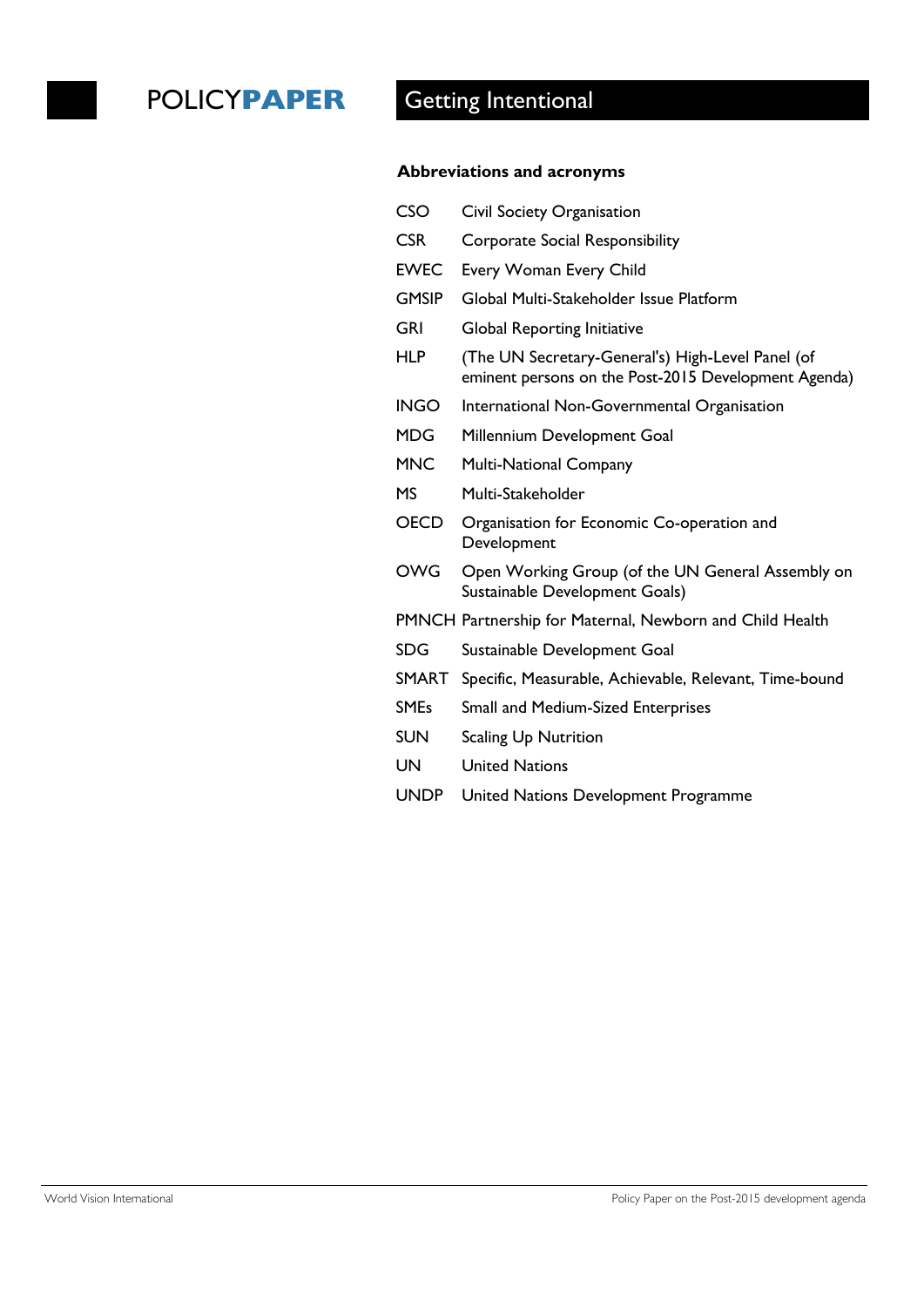### **Abbreviations and acronyms**

| Civil Society Organisation                                                                                |
|-----------------------------------------------------------------------------------------------------------|
| <b>Corporate Social Responsibility</b>                                                                    |
| <b>Every Woman Every Child</b>                                                                            |
| Global Multi-Stakeholder Issue Platform                                                                   |
| <b>Global Reporting Initiative</b>                                                                        |
| (The UN Secretary-General's) High-Level Panel (of<br>eminent persons on the Post-2015 Development Agenda) |
| International Non-Governmental Organisation                                                               |
| Millennium Development Goal                                                                               |
| <b>Multi-National Company</b>                                                                             |
| Multi-Stakeholder                                                                                         |
| Organisation for Economic Co-operation and<br>Development                                                 |
| Open Working Group (of the UN General Assembly on<br>Sustainable Development Goals)                       |
| PMNCH Partnership for Maternal, Newborn and Child Health                                                  |
| Sustainable Development Goal                                                                              |
| Specific, Measurable, Achievable, Relevant, Time-bound                                                    |
| <b>Small and Medium-Sized Enterprises</b>                                                                 |
| <b>Scaling Up Nutrition</b>                                                                               |
| <b>United Nations</b>                                                                                     |
| United Nations Development Programme                                                                      |
|                                                                                                           |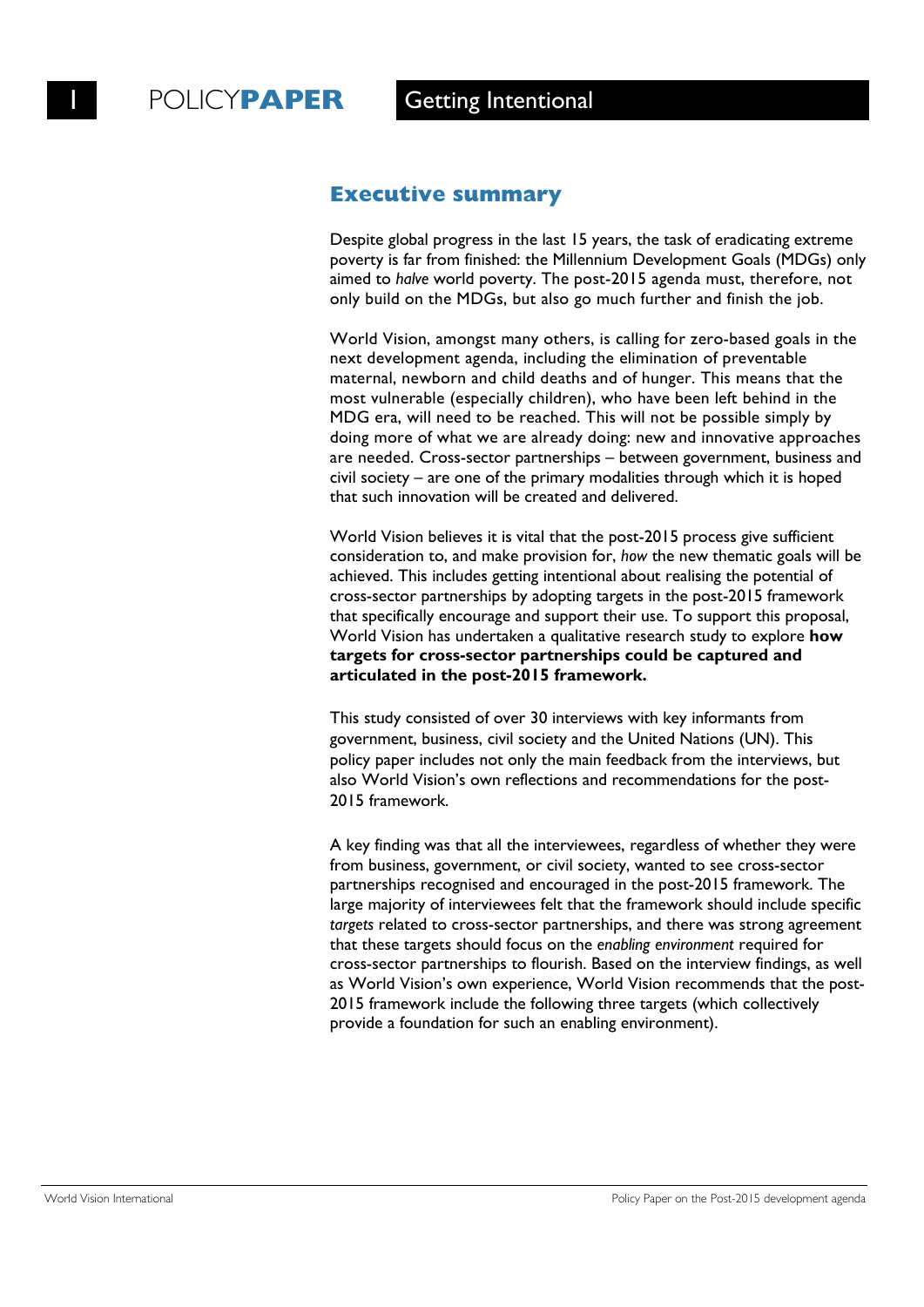### **Executive summary**

Despite global progress in the last 15 years, the task of eradicating extreme poverty is far from finished: the Millennium Development Goals (MDGs) only aimed to *halve* world poverty. The post-2015 agenda must, therefore, not only build on the MDGs, but also go much further and finish the job.

World Vision, amongst many others, is calling for zero-based goals in the next development agenda, including the elimination of preventable maternal, newborn and child deaths and of hunger. This means that the most vulnerable (especially children), who have been left behind in the MDG era, will need to be reached. This will not be possible simply by doing more of what we are already doing: new and innovative approaches are needed. Cross-sector partnerships – between government, business and civil society – are one of the primary modalities through which it is hoped that such innovation will be created and delivered.

World Vision believes it is vital that the post-2015 process give sufficient consideration to, and make provision for, *how* the new thematic goals will be achieved. This includes getting intentional about realising the potential of cross-sector partnerships by adopting targets in the post-2015 framework that specifically encourage and support their use. To support this proposal, World Vision has undertaken a qualitative research study to explore **how targets for cross-sector partnerships could be captured and articulated in the post-2015 framework.** 

This study consisted of over 30 interviews with key informants from government, business, civil society and the United Nations (UN). This policy paper includes not only the main feedback from the interviews, but also World Vision's own reflections and recommendations for the post-2015 framework.

A key finding was that all the interviewees, regardless of whether they were from business, government, or civil society, wanted to see cross-sector partnerships recognised and encouraged in the post-2015 framework. The large majority of interviewees felt that the framework should include specific *targets* related to cross-sector partnerships, and there was strong agreement that these targets should focus on the *enabling environment* required for cross-sector partnerships to flourish. Based on the interview findings, as well as World Vision's own experience, World Vision recommends that the post-2015 framework include the following three targets (which collectively provide a foundation for such an enabling environment).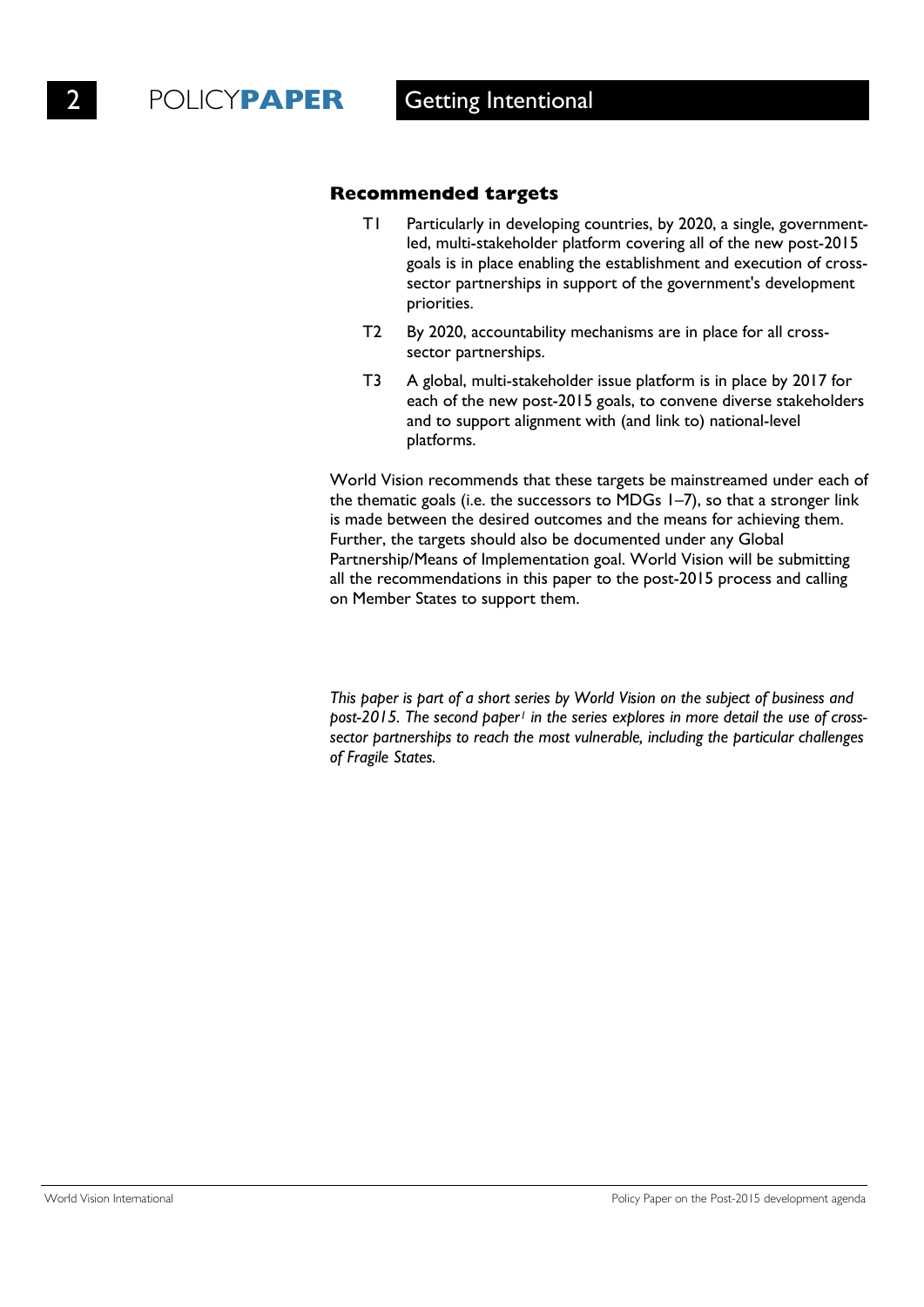### **Recommended targets**

- T1 Particularly in developing countries, by 2020, a single, governmentled, multi-stakeholder platform covering all of the new post-2015 goals is in place enabling the establishment and execution of crosssector partnerships in support of the government's development priorities.
- T2 By 2020, accountability mechanisms are in place for all crosssector partnerships.
- T3 A global, multi-stakeholder issue platform is in place by 2017 for each of the new post-2015 goals, to convene diverse stakeholders and to support alignment with (and link to) national-level platforms.

World Vision recommends that these targets be mainstreamed under each of the thematic goals (i.e. the successors to MDGs 1–7), so that a stronger link is made between the desired outcomes and the means for achieving them. Further, the targets should also be documented under any Global Partnership/Means of Implementation goal. World Vision will be submitting all the recommendations in this paper to the post-2015 process and calling on Member States to support them.

*This paper is part of a short series by World Vision on the subject of business and post-2015. The second pape[r1](#page-29-0) in the series explores in more detail the use of crosssector partnerships to reach the most vulnerable, including the particular challenges of Fragile States.*

World Vision International **Policy Paper on the Post-2015** development agenda **Policy Paper on the Post-2015** development agenda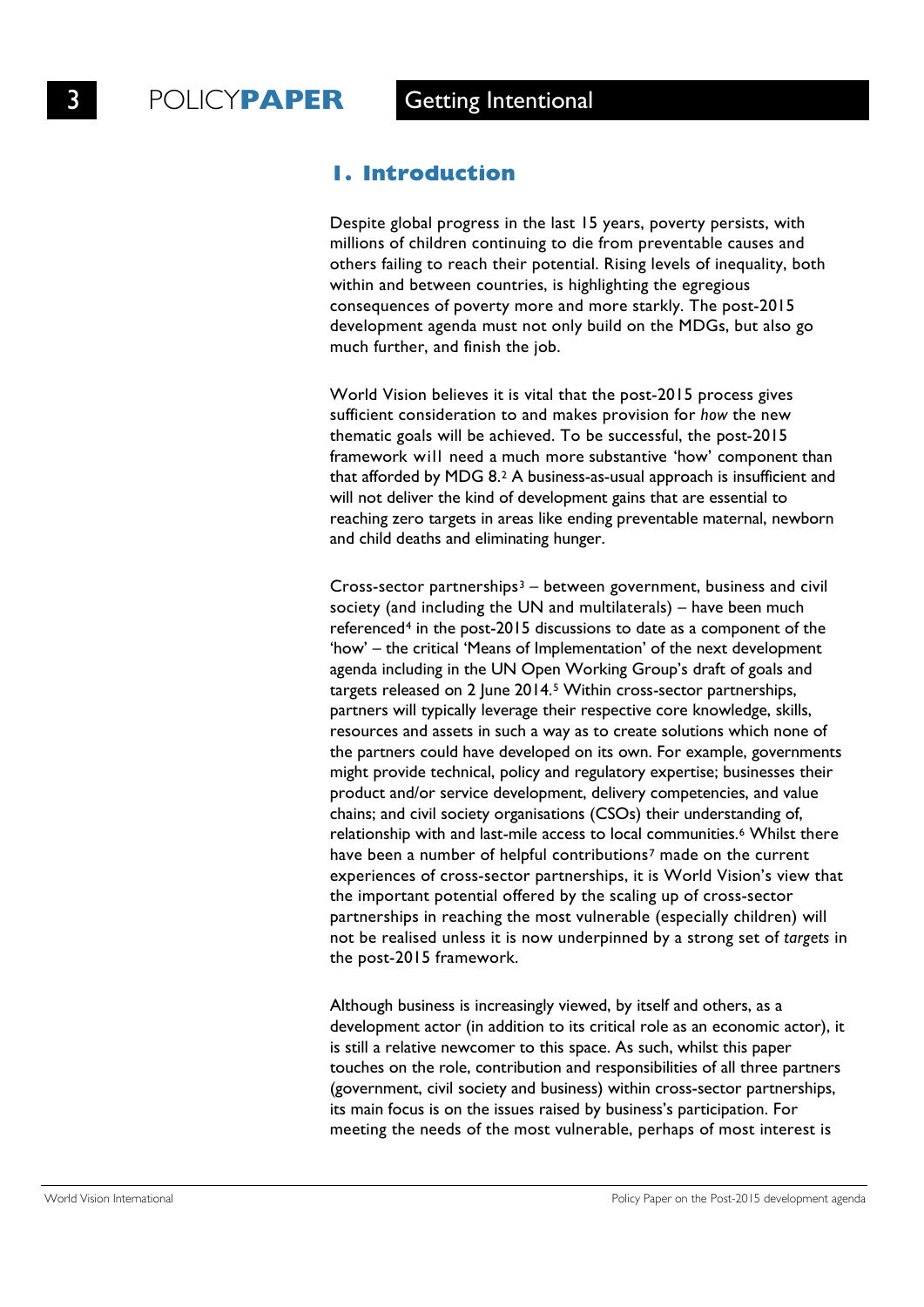### **1. Introduction**

Despite global progress in the last 15 years, poverty persists, with millions of children continuing to die from preventable causes and others failing to reach their potential. Rising levels of inequality, both within and between countries, is highlighting the egregious consequences of poverty more and more starkly. The post-2015 development agenda must not only build on the MDGs, but also go much further, and finish the job.

World Vision believes it is vital that the post-2015 process gives sufficient consideration to and makes provision for *how* the new thematic goals will be achieved. To be successful, the post-2015 framework will need a much more substantive 'how' component than that afforded by MDG 8.[2](#page-30-0) A business-as-usual approach is insufficient and will not deliver the kind of development gains that are essential to reaching zero targets in areas like ending preventable maternal, newborn and child deaths and eliminating hunger.

Cross-sector partnerships<sup>[3](#page-30-1)</sup> – between government, business and civil society (and including the UN and multilaterals) – have been much referenced<sup>[4](#page-30-2)</sup> in the post-2015 discussions to date as a component of the 'how' – the critical 'Means of Implementation' of the next development agenda including in the UN Open Working Group's draft of goals and targets released on 2 June 2014.[5](#page-30-3) Within cross-sector partnerships, partners will typically leverage their respective core knowledge, skills, resources and assets in such a way as to create solutions which none of the partners could have developed on its own. For example, governments might provide technical, policy and regulatory expertise; businesses their product and/or service development, delivery competencies, and value chains; and civil society organisations (CSOs) their understanding of, relationship with and last-mile access to local communities.<sup>[6](#page-30-4)</sup> Whilst there have been a number of helpful contributions<sup>[7](#page-30-5)</sup> made on the current experiences of cross-sector partnerships, it is World Vision's view that the important potential offered by the scaling up of cross-sector partnerships in reaching the most vulnerable (especially children) will not be realised unless it is now underpinned by a strong set of *targets* in the post-2015 framework.

Although business is increasingly viewed, by itself and others, as a development actor (in addition to its critical role as an economic actor), it is still a relative newcomer to this space. As such, whilst this paper touches on the role, contribution and responsibilities of all three partners (government, civil society and business) within cross-sector partnerships, its main focus is on the issues raised by business's participation. For meeting the needs of the most vulnerable, perhaps of most interest is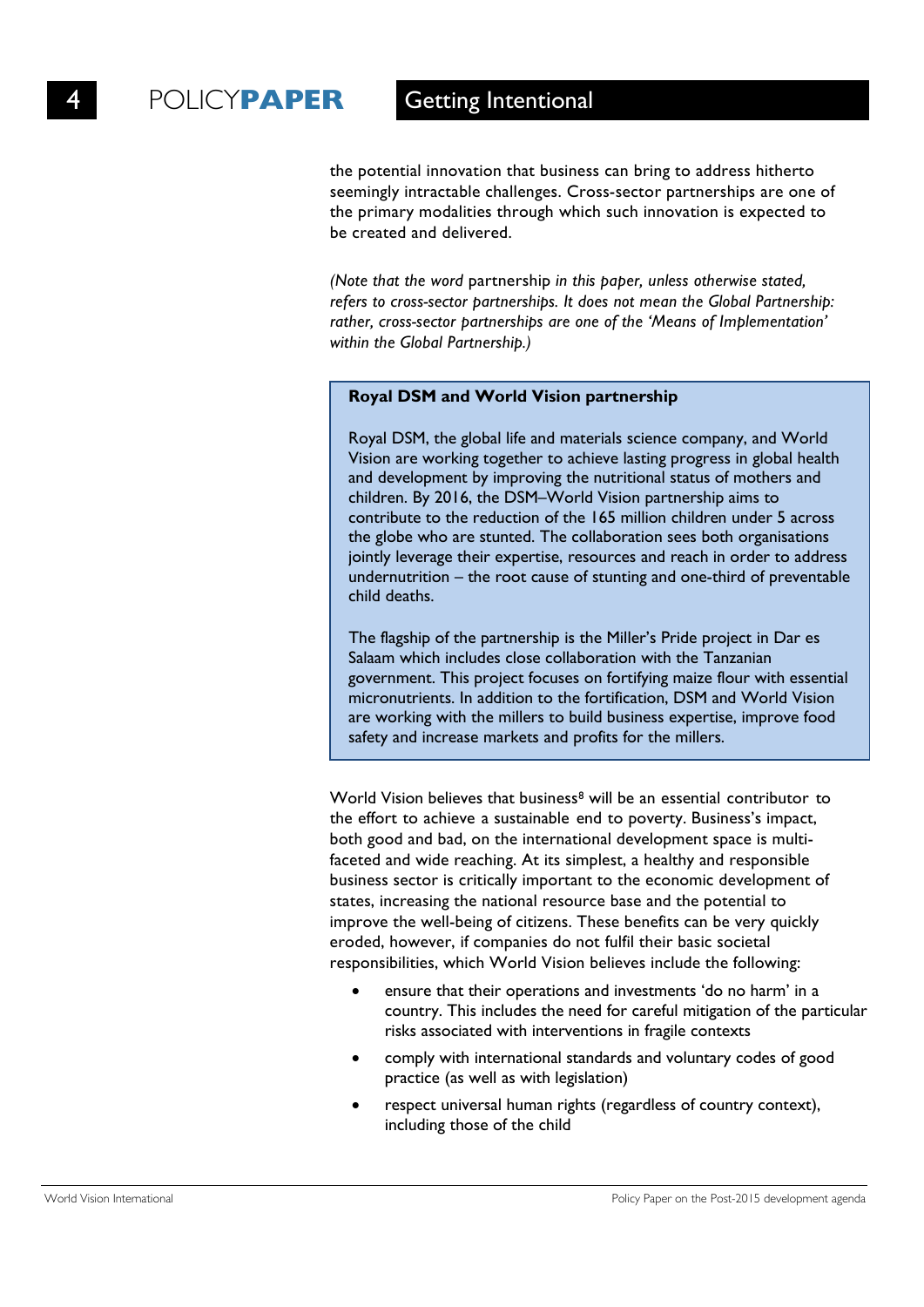the potential innovation that business can bring to address hitherto seemingly intractable challenges. Cross-sector partnerships are one of the primary modalities through which such innovation is expected to be created and delivered.

*(Note that the word* partnership *in this paper, unless otherwise stated, refers to cross-sector partnerships. It does not mean the Global Partnership: rather, cross-sector partnerships are one of the 'Means of Implementation' within the Global Partnership.)*

### **Royal DSM and World Vision partnership**

Royal DSM, the global life and materials science company, and World Vision are working together to achieve lasting progress in global health and development by improving the nutritional status of mothers and children. By 2016, the DSM–World Vision partnership aims to contribute to the reduction of the 165 million children under 5 across the globe who are stunted. The collaboration sees both organisations jointly leverage their expertise, resources and reach in order to address undernutrition – the root cause of stunting and one-third of preventable child deaths.

The flagship of the partnership is the Miller's Pride project in Dar es Salaam which includes close collaboration with the Tanzanian government. This project focuses on fortifying maize flour with essential micronutrients. In addition to the fortification, DSM and World Vision are working with the millers to build business expertise, improve food safety and increase markets and profits for the millers.

World Vision believes that business<sup>[8](#page-31-0)</sup> will be an essential contributor to the effort to achieve a sustainable end to poverty. Business's impact, both good and bad, on the international development space is multifaceted and wide reaching. At its simplest, a healthy and responsible business sector is critically important to the economic development of states, increasing the national resource base and the potential to improve the well-being of citizens. These benefits can be very quickly eroded, however, if companies do not fulfil their basic societal responsibilities, which World Vision believes include the following:

- ensure that their operations and investments 'do no harm' in a country. This includes the need for careful mitigation of the particular risks associated with interventions in fragile contexts
- comply with international standards and voluntary codes of good practice (as well as with legislation)
- respect universal human rights (regardless of country context), including those of the child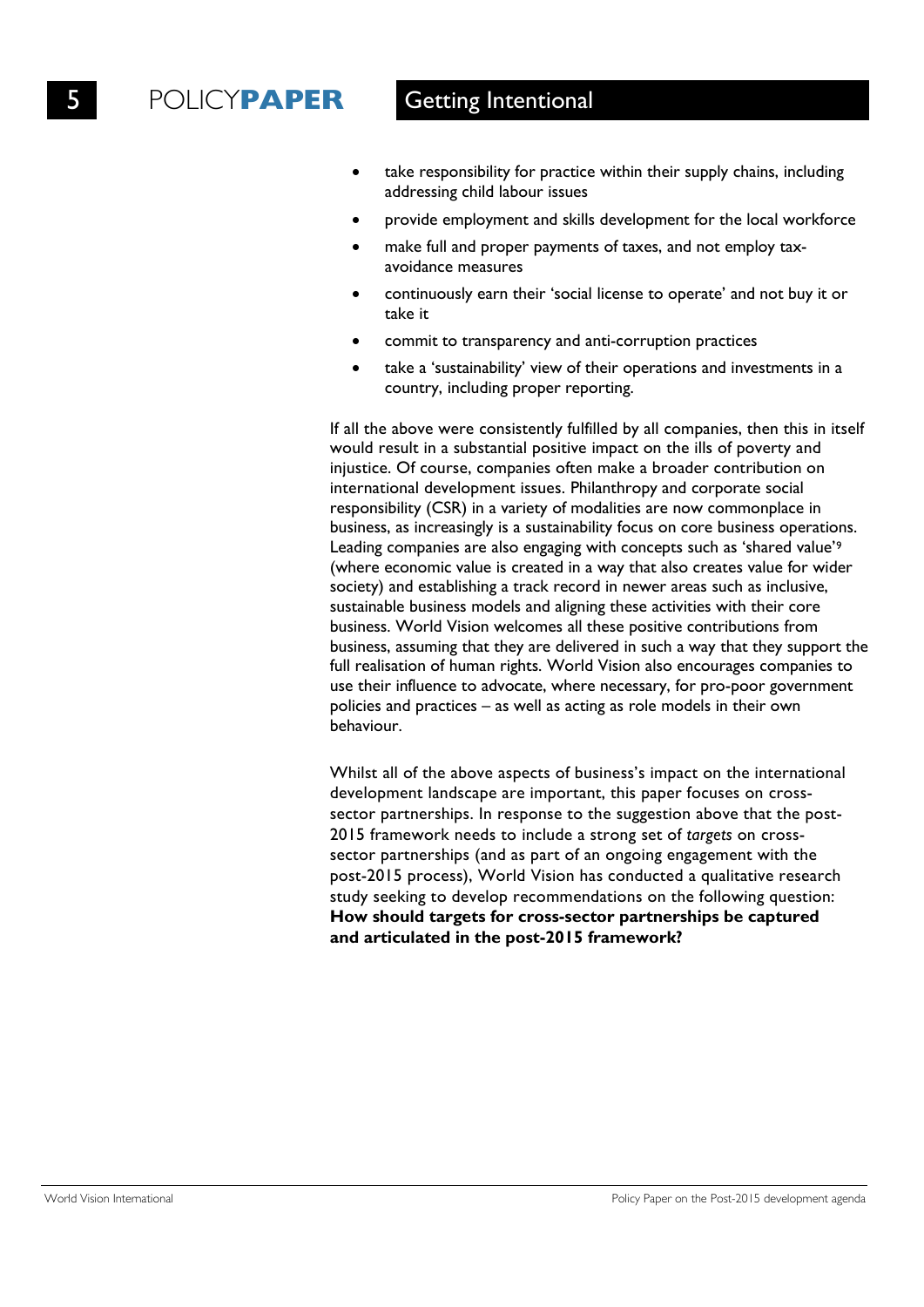- take responsibility for practice within their supply chains, including addressing child labour issues
- provide employment and skills development for the local workforce
- make full and proper payments of taxes, and not employ taxavoidance measures
- continuously earn their 'social license to operate' and not buy it or take it
- commit to transparency and anti-corruption practices
- take a 'sustainability' view of their operations and investments in a country, including proper reporting.

If all the above were consistently fulfilled by all companies, then this in itself would result in a substantial positive impact on the ills of poverty and injustice. Of course, companies often make a broader contribution on international development issues. Philanthropy and corporate social responsibility (CSR) in a variety of modalities are now commonplace in business, as increasingly is a sustainability focus on core business operations. Leading companies are also engaging with concepts such as 'shared value'9 (where economic value is created in a way that also creates value for wider society) and establishing a track record in newer areas such as inclusive, sustainable business models and aligning these activities with their core business. World Vision welcomes all these positive contributions from business, assuming that they are delivered in such a way that they support the full realisation of human rights. World Vision also encourages companies to use their influence to advocate, where necessary, for pro-poor government policies and practices – as well as acting as role models in their own behaviour.

Whilst all of the above aspects of business's impact on the international development landscape are important, this paper focuses on crosssector partnerships. In response to the suggestion above that the post-2015 framework needs to include a strong set of *targets* on crosssector partnerships (and as part of an ongoing engagement with the post-2015 process), World Vision has conducted a qualitative research study seeking to develop recommendations on the following question: **How should targets for cross-sector partnerships be captured and articulated in the post-2015 framework?**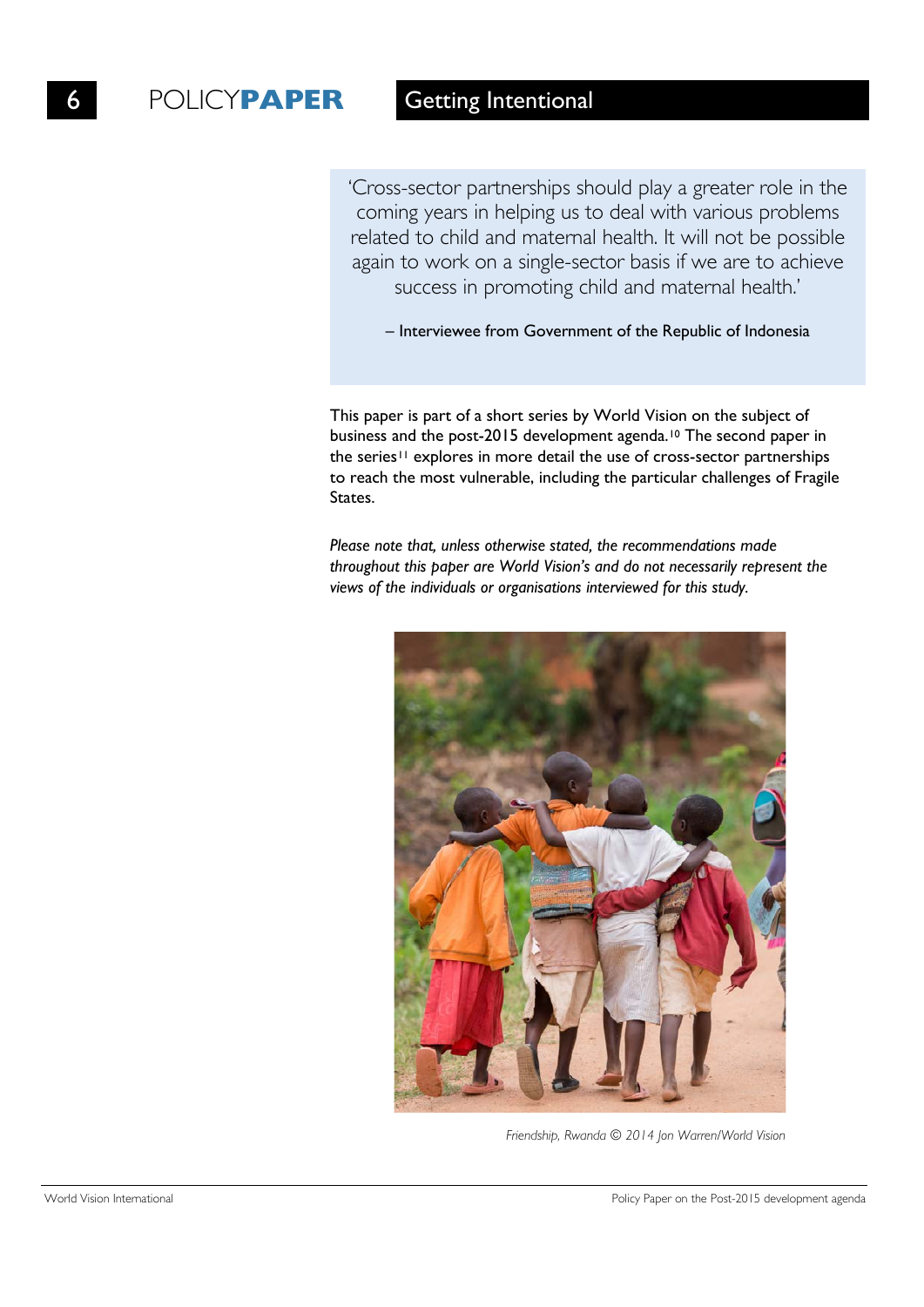'Cross-sector partnerships should play a greater role in the coming years in helping us to deal with various problems related to child and maternal health. It will not be possible again to work on a single-sector basis if we are to achieve success in promoting child and maternal health.'

– Interviewee from Government of the Republic of Indonesia

This paper is part of a short series by World Vision on the subject of business and the post-2015 development agenda.<sup>10</sup> The second paper in the series<sup>11</sup> explores in more detail the use of cross-sector partnerships to reach the most vulnerable, including the particular challenges of Fragile States.

*Please note that, unless otherwise stated, the recommendations made throughout this paper are World Vision's and do not necessarily represent the views of the individuals or organisations interviewed for this study.*



*Friendship, Rwanda © 2014 Jon Warren/World Vision*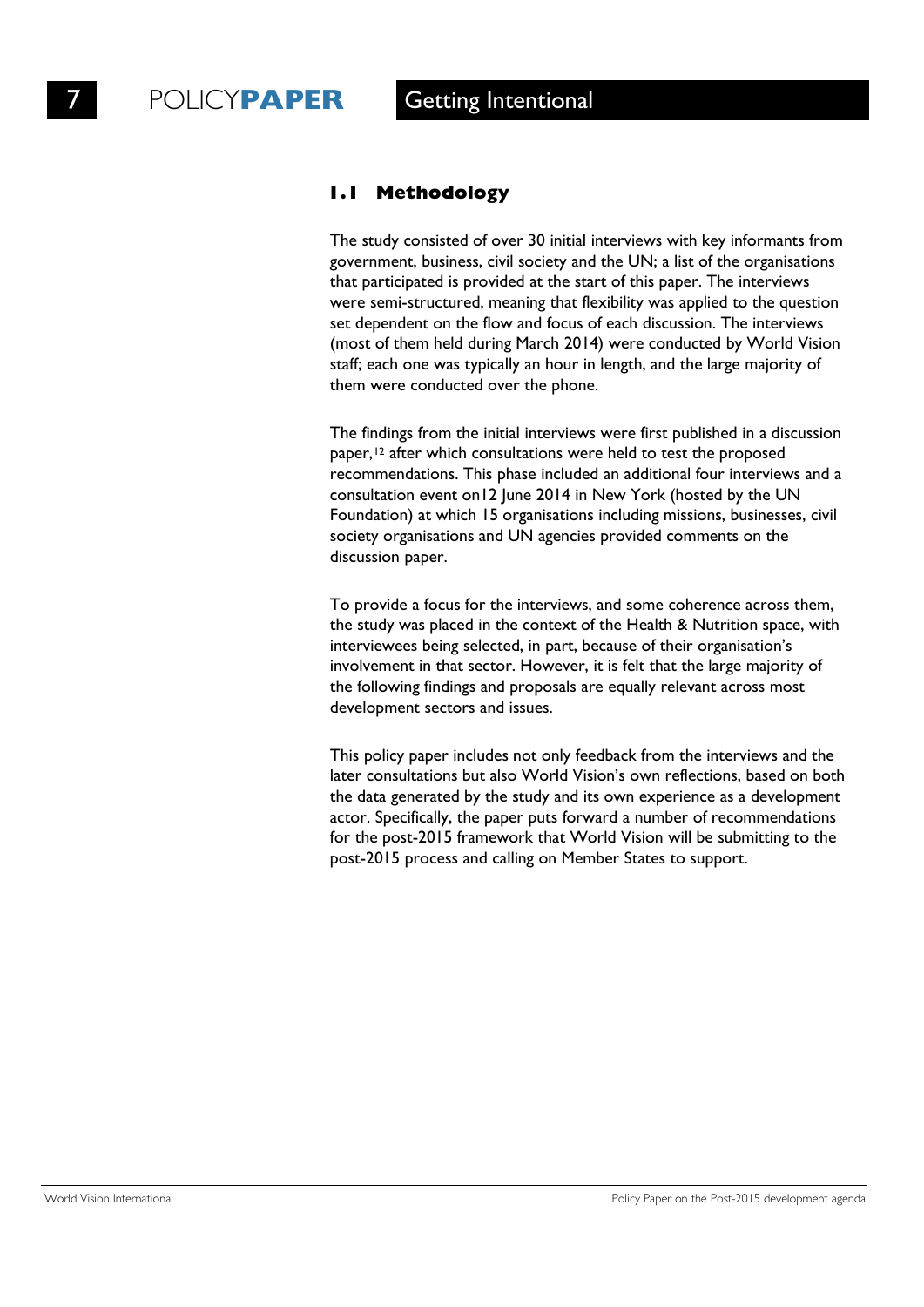### **1.1 Methodology**

The study consisted of over 30 initial interviews with key informants from government, business, civil society and the UN; a list of the organisations that participated is provided at the start of this paper. The interviews were semi-structured, meaning that flexibility was applied to the question set dependent on the flow and focus of each discussion. The interviews (most of them held during March 2014) were conducted by World Vision staff; each one was typically an hour in length, and the large majority of them were conducted over the phone.

The findings from the initial interviews were first published in a discussion paper,<sup>12</sup> after which consultations were held to test the proposed recommendations. This phase included an additional four interviews and a consultation event on12 June 2014 in New York (hosted by the UN Foundation) at which 15 organisations including missions, businesses, civil society organisations and UN agencies provided comments on the discussion paper.

To provide a focus for the interviews, and some coherence across them, the study was placed in the context of the Health & Nutrition space, with interviewees being selected, in part, because of their organisation's involvement in that sector. However, it is felt that the large majority of the following findings and proposals are equally relevant across most development sectors and issues.

This policy paper includes not only feedback from the interviews and the later consultations but also World Vision's own reflections, based on both the data generated by the study and its own experience as a development actor. Specifically, the paper puts forward a number of recommendations for the post-2015 framework that World Vision will be submitting to the post-2015 process and calling on Member States to support.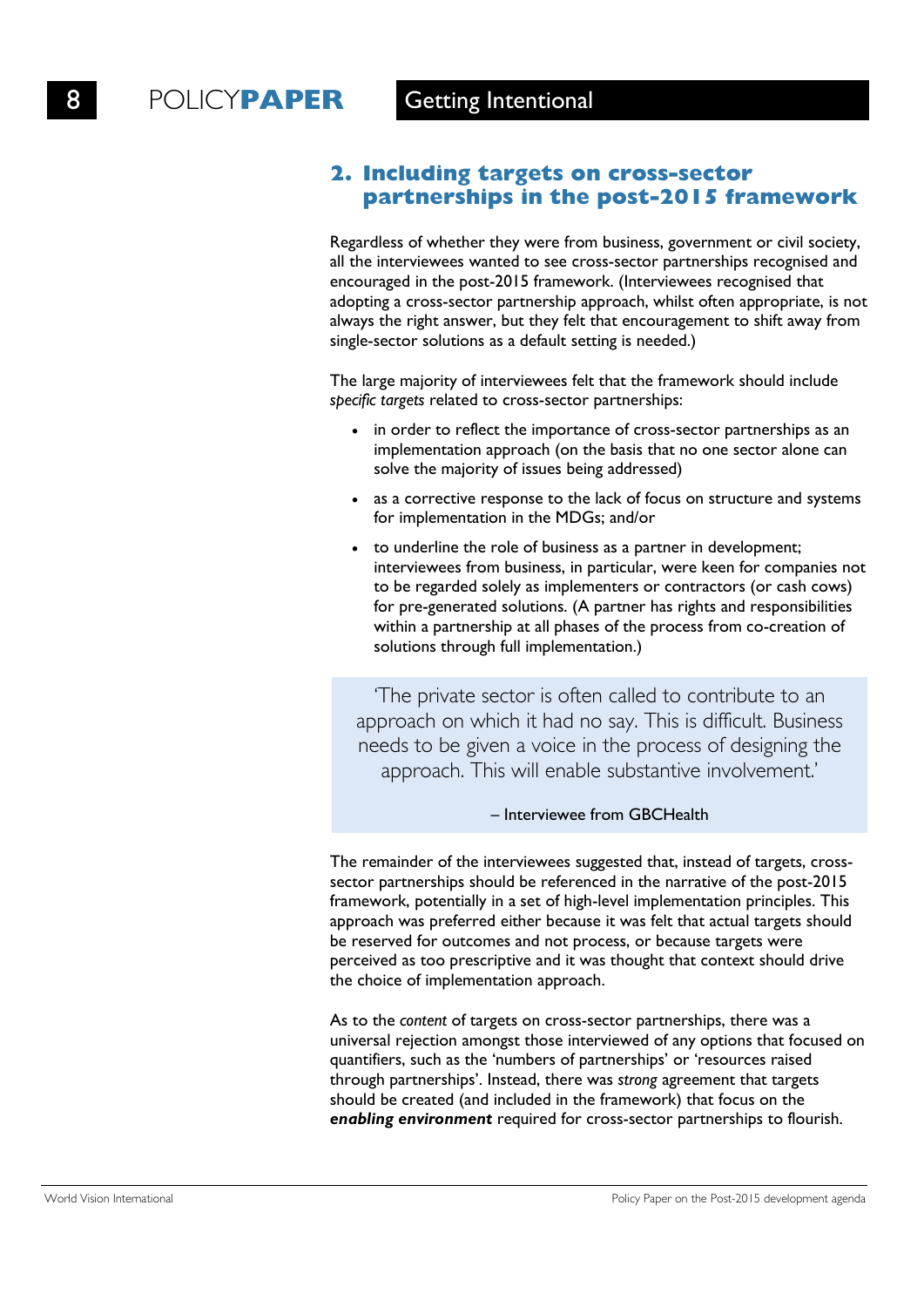## **2. Including targets on cross-sector partnerships in the post-2015 framework**

Regardless of whether they were from business, government or civil society, all the interviewees wanted to see cross-sector partnerships recognised and encouraged in the post-2015 framework. (Interviewees recognised that adopting a cross-sector partnership approach, whilst often appropriate, is not always the right answer, but they felt that encouragement to shift away from single-sector solutions as a default setting is needed.)

The large majority of interviewees felt that the framework should include *specific targets* related to cross-sector partnerships:

- in order to reflect the importance of cross-sector partnerships as an implementation approach (on the basis that no one sector alone can solve the majority of issues being addressed)
- as a corrective response to the lack of focus on structure and systems for implementation in the MDGs; and/or
- to underline the role of business as a partner in development; interviewees from business, in particular, were keen for companies not to be regarded solely as implementers or contractors (or cash cows) for pre-generated solutions. (A partner has rights and responsibilities within a partnership at all phases of the process from co-creation of solutions through full implementation.)

'The private sector is often called to contribute to an approach on which it had no say. This is difficult. Business needs to be given a voice in the process of designing the approach. This will enable substantive involvement.'

#### – Interviewee from GBCHealth

The remainder of the interviewees suggested that, instead of targets, crosssector partnerships should be referenced in the narrative of the post-2015 framework, potentially in a set of high-level implementation principles. This approach was preferred either because it was felt that actual targets should be reserved for outcomes and not process, or because targets were perceived as too prescriptive and it was thought that context should drive the choice of implementation approach.

As to the *content* of targets on cross-sector partnerships, there was a universal rejection amongst those interviewed of any options that focused on quantifiers, such as the 'numbers of partnerships' or 'resources raised through partnerships'. Instead, there was *strong* agreement that targets should be created (and included in the framework) that focus on the *enabling environment* required for cross-sector partnerships to flourish.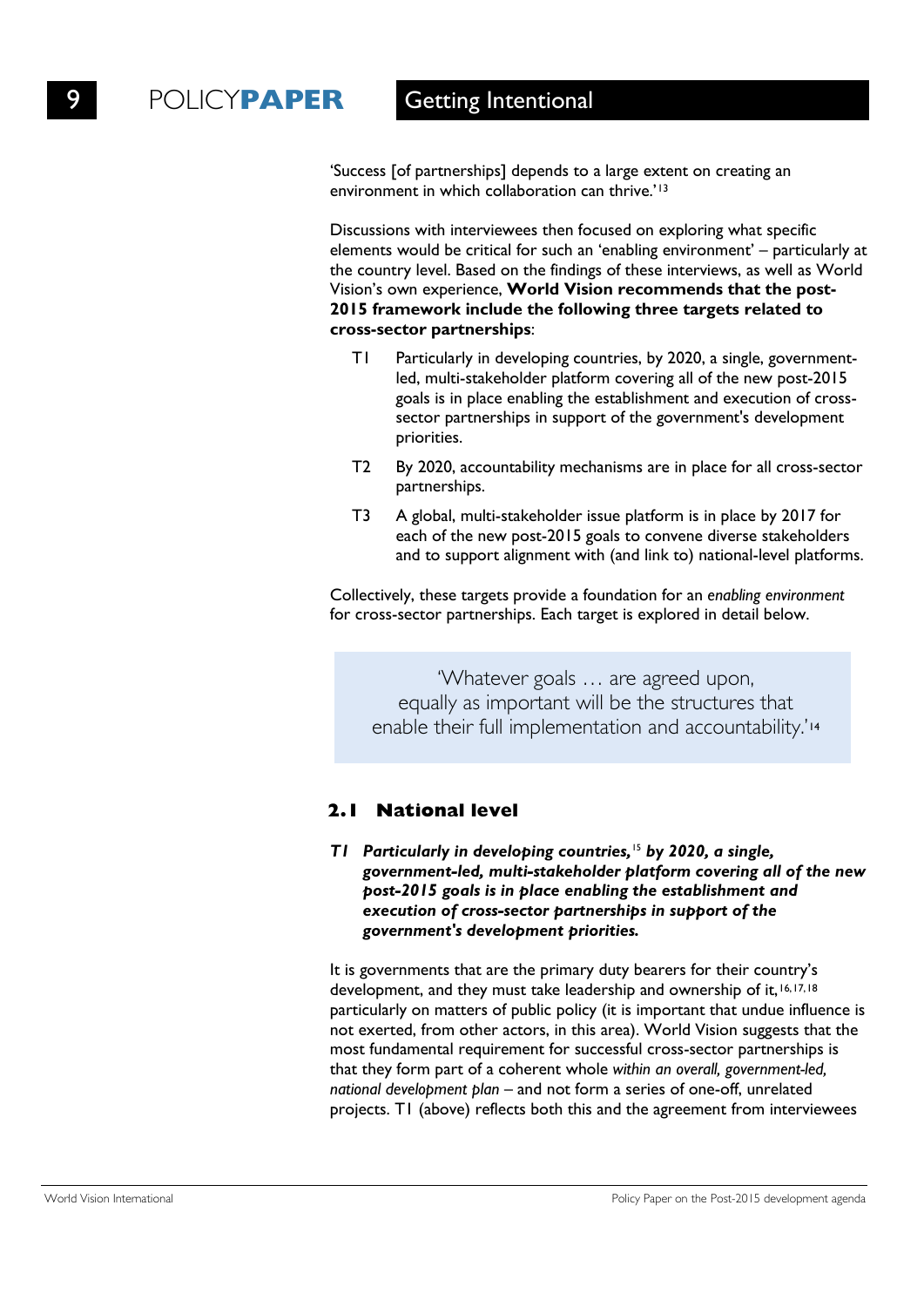'Success [of partnerships] depends to a large extent on creating an environment in which collaboration can thrive.'13

Discussions with interviewees then focused on exploring what specific elements would be critical for such an 'enabling environment' – particularly at the country level. Based on the findings of these interviews, as well as World Vision's own experience, **World Vision recommends that the post-2015 framework include the following three targets related to cross-sector partnerships**:

- T1 Particularly in developing countries, by 2020, a single, governmentled, multi-stakeholder platform covering all of the new post-2015 goals is in place enabling the establishment and execution of crosssector partnerships in support of the government's development priorities.
- T2 By 2020, accountability mechanisms are in place for all cross-sector partnerships.
- T3 A global, multi-stakeholder issue platform is in place by 2017 for each of the new post-2015 goals to convene diverse stakeholders and to support alignment with (and link to) national-level platforms.

Collectively, these targets provide a foundation for an *enabling environment* for cross-sector partnerships. Each target is explored in detail below.

'Whatever goals … are agreed upon, equally as important will be the structures that enable their full implementation and accountability.'<sup>14</sup>

# **2.1 National level**

### *T1 Particularly in developing countries,* <sup>15</sup> *by 2020, a single, government-led, multi-stakeholder platform covering all of the new post-2015 goals is in place enabling the establishment and execution of cross-sector partnerships in support of the government's development priorities.*

It is governments that are the primary duty bearers for their country's development, and they must take leadership and ownership of it, 16, 17, 18 particularly on matters of public policy (it is important that undue influence is not exerted, from other actors, in this area). World Vision suggests that the most fundamental requirement for successful cross-sector partnerships is that they form part of a coherent whole *within an overall, government-led, national development plan* – and not form a series of one-off, unrelated projects. T1 (above) reflects both this and the agreement from interviewees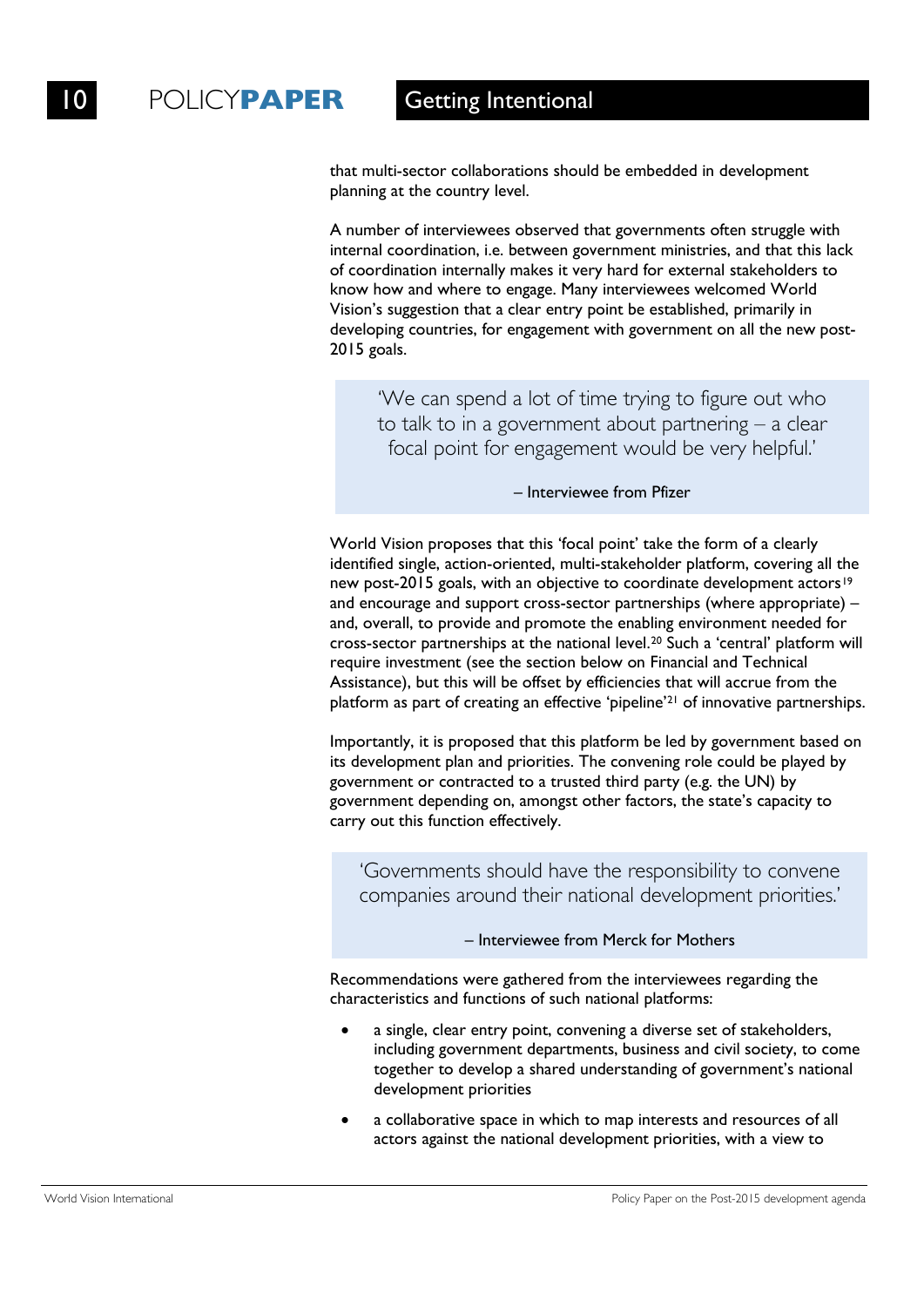that multi-sector collaborations should be embedded in development planning at the country level.

A number of interviewees observed that governments often struggle with internal coordination, i.e. between government ministries, and that this lack of coordination internally makes it very hard for external stakeholders to know how and where to engage. Many interviewees welcomed World Vision's suggestion that a clear entry point be established, primarily in developing countries, for engagement with government on all the new post-2015 goals.

'We can spend a lot of time trying to figure out who to talk to in a government about partnering – a clear focal point for engagement would be very helpful.'

– Interviewee from Pfizer

World Vision proposes that this 'focal point' take the form of a clearly identified single, action-oriented, multi-stakeholder platform, covering all the new post-2015 goals, with an objective to coordinate development actors<sup>19</sup> and encourage and support cross-sector partnerships (where appropriate) – and, overall, to provide and promote the enabling environment needed for cross-sector partnerships at the national level.20 Such a 'central' platform will require investment (see the section below on Financial and Technical Assistance), but this will be offset by efficiencies that will accrue from the platform as part of creating an effective 'pipeline'21 of innovative partnerships.

Importantly, it is proposed that this platform be led by government based on its development plan and priorities. The convening role could be played by government or contracted to a trusted third party (e.g. the UN) by government depending on, amongst other factors, the state's capacity to carry out this function effectively.

'Governments should have the responsibility to convene companies around their national development priorities.'

– Interviewee from Merck for Mothers

Recommendations were gathered from the interviewees regarding the characteristics and functions of such national platforms:

- a single, clear entry point, convening a diverse set of stakeholders, including government departments, business and civil society, to come together to develop a shared understanding of government's national development priorities
- a collaborative space in which to map interests and resources of all actors against the national development priorities, with a view to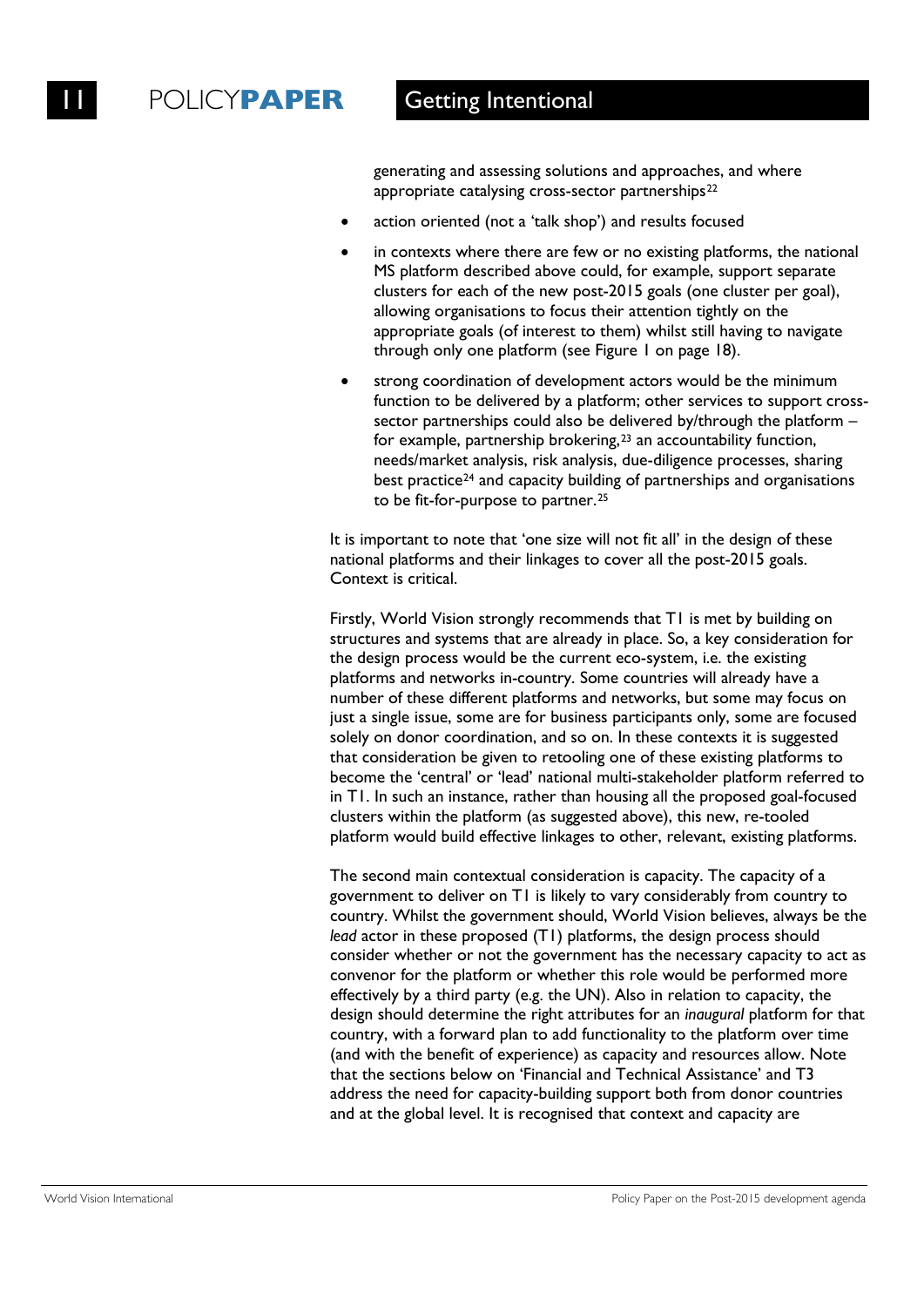generating and assessing solutions and approaches, and where appropriate catalysing cross-sector partnerships<sup>22</sup>

- action oriented (not a 'talk shop') and results focused
- in contexts where there are few or no existing platforms, the national MS platform described above could, for example, support separate clusters for each of the new post-2015 goals (one cluster per goal), allowing organisations to focus their attention tightly on the appropriate goals (of interest to them) whilst still having to navigate through only one platform (see Figure 1 on page 18).
- strong coordination of development actors would be the minimum function to be delivered by a platform; other services to support crosssector partnerships could also be delivered by/through the platform – for example, partnership brokering,23 an accountability function, needs/market analysis, risk analysis, due-diligence processes, sharing best practice<sup>24</sup> and capacity building of partnerships and organisations to be fit-for-purpose to partner.25

It is important to note that 'one size will not fit all' in the design of these national platforms and their linkages to cover all the post-2015 goals. Context is critical.

Firstly, World Vision strongly recommends that T1 is met by building on structures and systems that are already in place. So, a key consideration for the design process would be the current eco-system, i.e. the existing platforms and networks in-country. Some countries will already have a number of these different platforms and networks, but some may focus on just a single issue, some are for business participants only, some are focused solely on donor coordination, and so on. In these contexts it is suggested that consideration be given to retooling one of these existing platforms to become the 'central' or 'lead' national multi-stakeholder platform referred to in T1. In such an instance, rather than housing all the proposed goal-focused clusters within the platform (as suggested above), this new, re-tooled platform would build effective linkages to other, relevant, existing platforms.

The second main contextual consideration is capacity. The capacity of a government to deliver on T1 is likely to vary considerably from country to country. Whilst the government should, World Vision believes, always be the *lead* actor in these proposed (T1) platforms, the design process should consider whether or not the government has the necessary capacity to act as convenor for the platform or whether this role would be performed more effectively by a third party (e.g. the UN). Also in relation to capacity, the design should determine the right attributes for an *inaugural* platform for that country, with a forward plan to add functionality to the platform over time (and with the benefit of experience) as capacity and resources allow. Note that the sections below on 'Financial and Technical Assistance' and T3 address the need for capacity-building support both from donor countries and at the global level. It is recognised that context and capacity are

World Vision International **Policy Paper on the Post-2015** development agenda **Policy Paper on the Post-2015** development agenda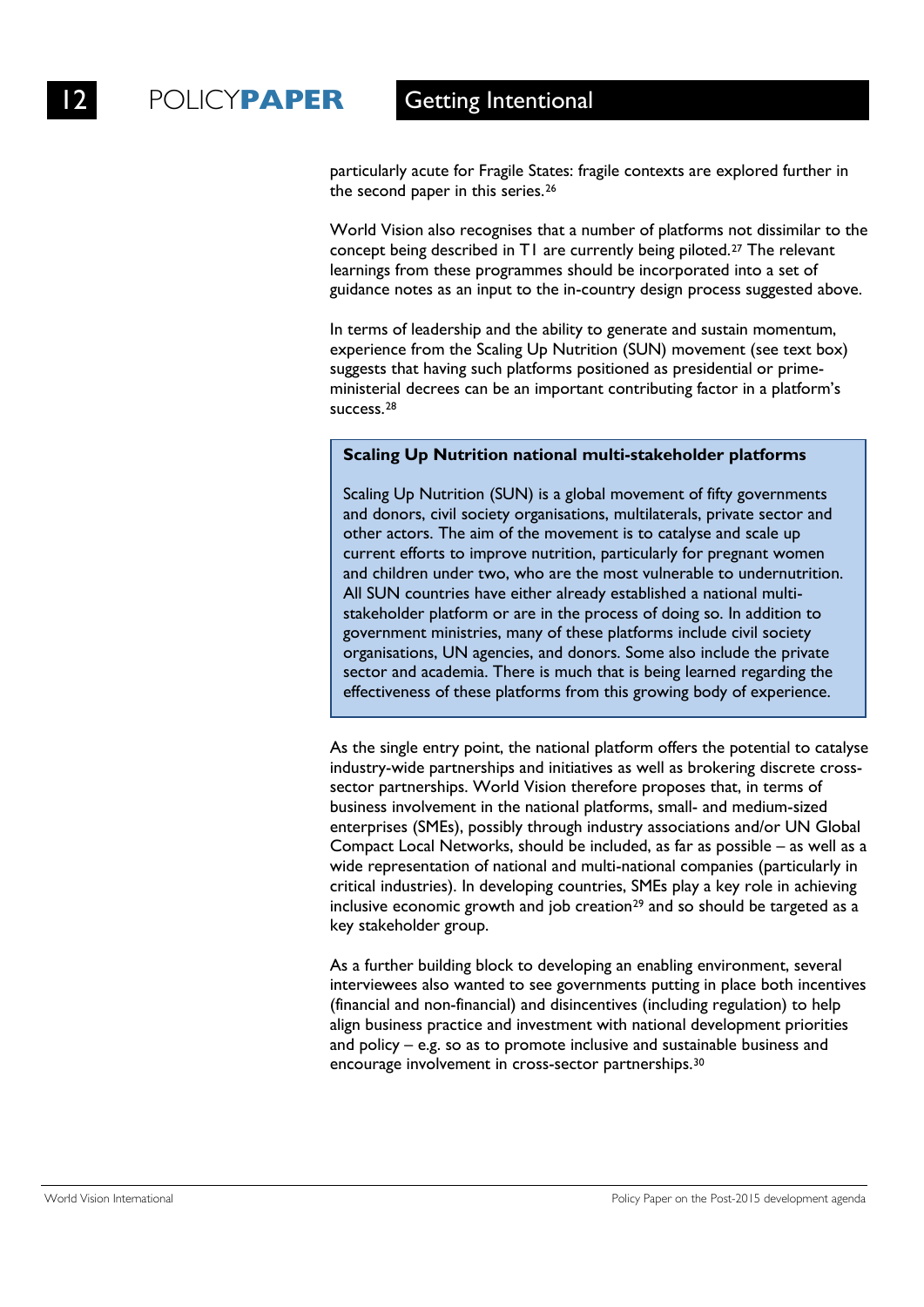particularly acute for Fragile States: fragile contexts are explored further in the second paper in this series.26

World Vision also recognises that a number of platforms not dissimilar to the concept being described in T1 are currently being piloted.27 The relevant learnings from these programmes should be incorporated into a set of guidance notes as an input to the in-country design process suggested above.

In terms of leadership and the ability to generate and sustain momentum, experience from the Scaling Up Nutrition (SUN) movement (see text box) suggests that having such platforms positioned as presidential or primeministerial decrees can be an important contributing factor in a platform's success.28

### **Scaling Up Nutrition national multi-stakeholder platforms**

Scaling Up Nutrition (SUN) is a global movement of fifty governments and donors, civil society organisations, multilaterals, private sector and other actors. The aim of the movement is to catalyse and scale up current efforts to improve nutrition, particularly for pregnant women and children under two, who are the most vulnerable to undernutrition. All SUN countries have either already established a national multistakeholder platform or are in the process of doing so. In addition to government ministries, many of these platforms include civil society organisations, UN agencies, and donors. Some also include the private sector and academia. There is much that is being learned regarding the effectiveness of these platforms from this growing body of experience.

As the single entry point, the national platform offers the potential to catalyse industry-wide partnerships and initiatives as well as brokering discrete crosssector partnerships. World Vision therefore proposes that, in terms of business involvement in the national platforms, small- and medium-sized enterprises (SMEs), possibly through industry associations and/or UN Global Compact Local Networks, should be included, as far as possible – as well as a wide representation of national and multi-national companies (particularly in critical industries). In developing countries, SMEs play a key role in achieving inclusive economic growth and job creation<sup>29</sup> and so should be targeted as a key stakeholder group.

As a further building block to developing an enabling environment, several interviewees also wanted to see governments putting in place both incentives (financial and non-financial) and disincentives (including regulation) to help align business practice and investment with national development priorities and policy – e.g. so as to promote inclusive and sustainable business and encourage involvement in cross-sector partnerships.30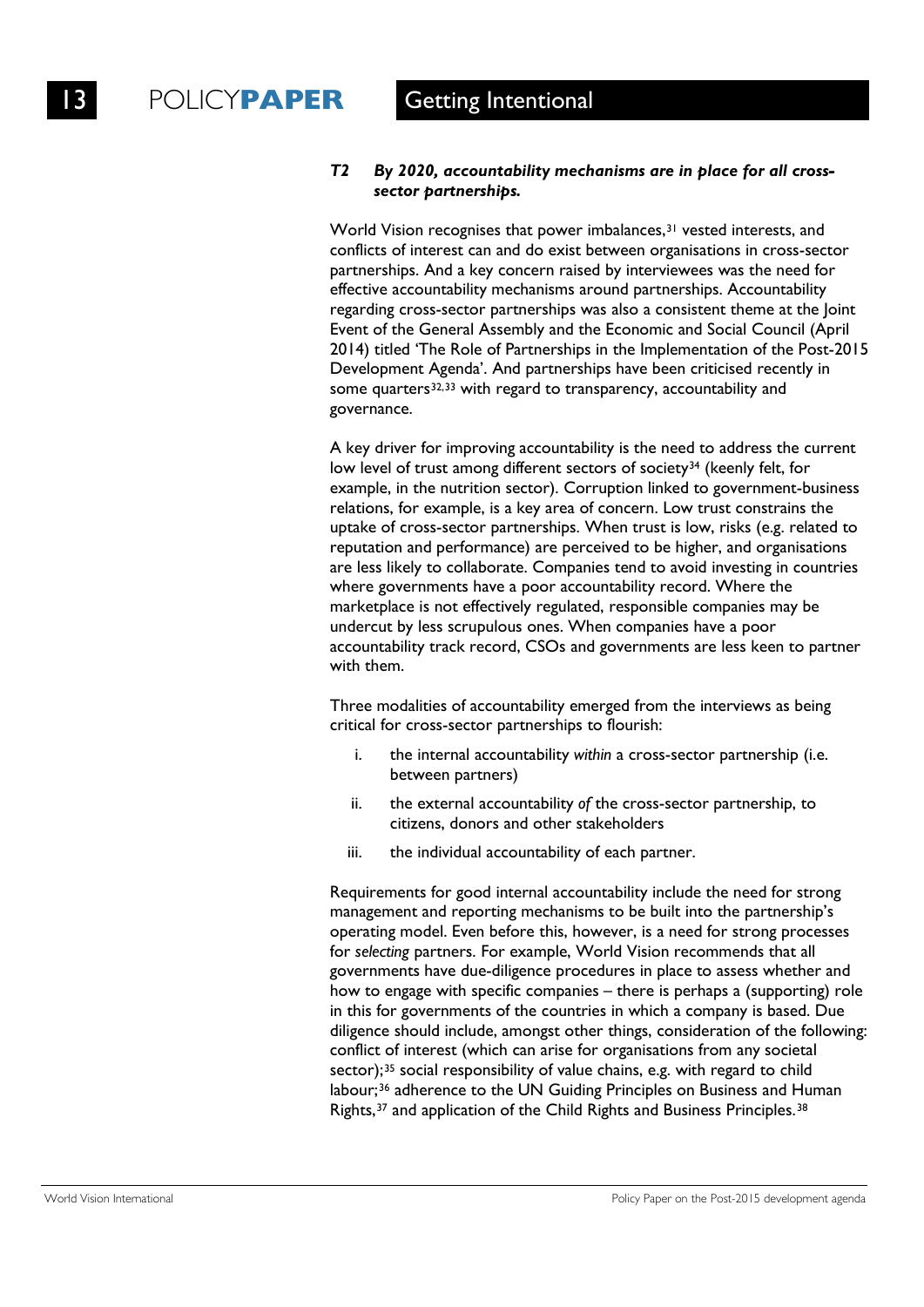### *T2 By 2020, accountability mechanisms are in place for all crosssector partnerships.*

World Vision recognises that power imbalances,<sup>31</sup> vested interests, and conflicts of interest can and do exist between organisations in cross-sector partnerships. And a key concern raised by interviewees was the need for effective accountability mechanisms around partnerships. Accountability regarding cross-sector partnerships was also a consistent theme at the Joint Event of the General Assembly and the Economic and Social Council (April 2014) titled 'The Role of Partnerships in the Implementation of the Post-2015 Development Agenda'. And partnerships have been criticised recently in some quarters<sup>32,33</sup> with regard to transparency, accountability and governance.

A key driver for improving accountability is the need to address the current low level of trust among different sectors of society<sup>34</sup> (keenly felt, for example, in the nutrition sector). Corruption linked to government-business relations, for example, is a key area of concern. Low trust constrains the uptake of cross-sector partnerships. When trust is low, risks (e.g. related to reputation and performance) are perceived to be higher, and organisations are less likely to collaborate. Companies tend to avoid investing in countries where governments have a poor accountability record. Where the marketplace is not effectively regulated, responsible companies may be undercut by less scrupulous ones. When companies have a poor accountability track record, CSOs and governments are less keen to partner with them.

Three modalities of accountability emerged from the interviews as being critical for cross-sector partnerships to flourish:

- i. the internal accountability *within* a cross-sector partnership (i.e. between partners)
- ii. the external accountability *of* the cross-sector partnership, to citizens, donors and other stakeholders
- iii. the individual accountability of each partner.

Requirements for good internal accountability include the need for strong management and reporting mechanisms to be built into the partnership's operating model. Even before this, however, is a need for strong processes for *selecting* partners. For example, World Vision recommends that all governments have due-diligence procedures in place to assess whether and how to engage with specific companies – there is perhaps a (supporting) role in this for governments of the countries in which a company is based. Due diligence should include, amongst other things, consideration of the following: conflict of interest (which can arise for organisations from any societal sector);<sup>35</sup> social responsibility of value chains, e.g. with regard to child labour;<sup>36</sup> adherence to the UN Guiding Principles on Business and Human Rights,<sup>37</sup> and application of the Child Rights and Business Principles.<sup>38</sup>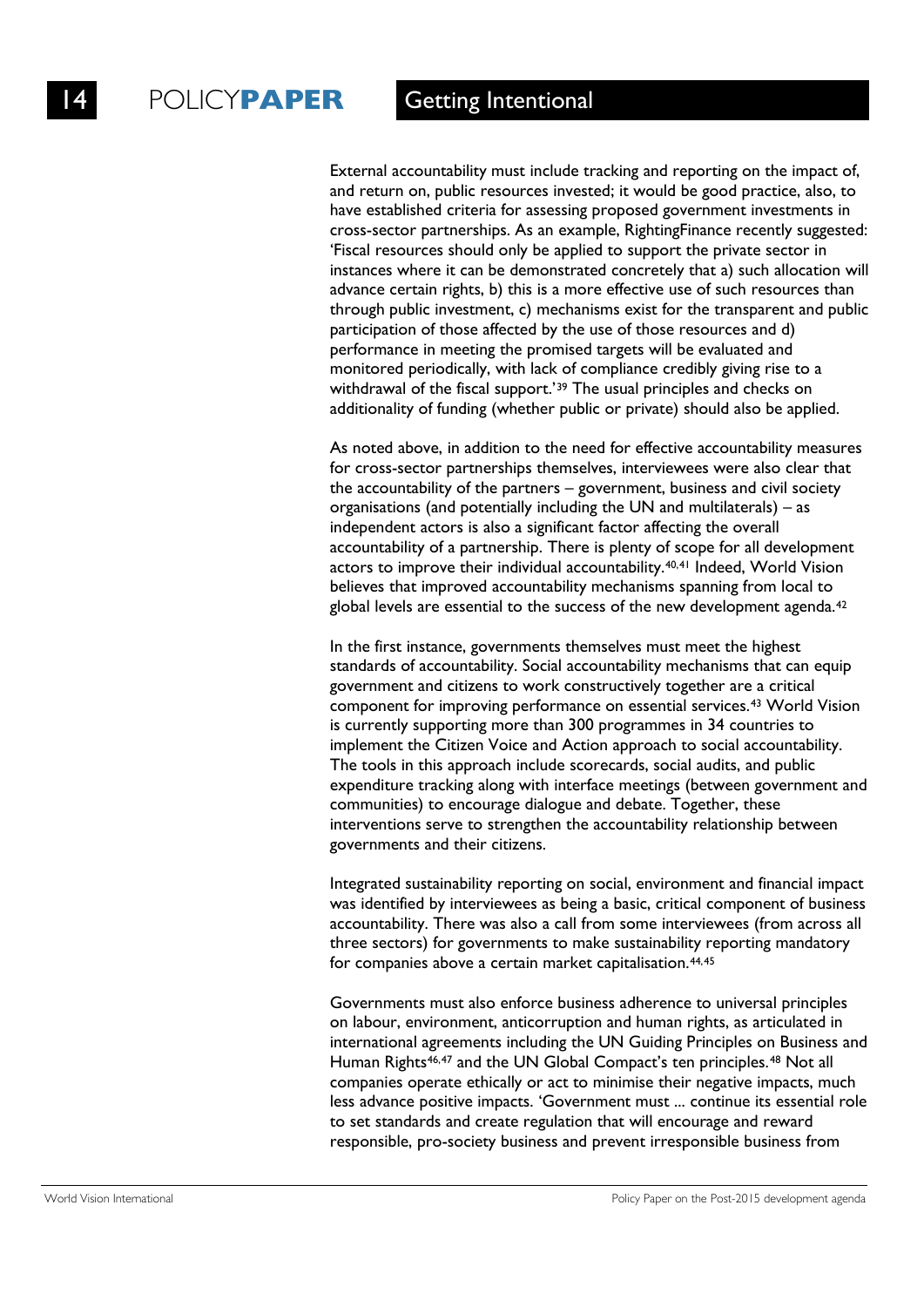External accountability must include tracking and reporting on the impact of, and return on, public resources invested; it would be good practice, also, to have established criteria for assessing proposed government investments in cross-sector partnerships. As an example, RightingFinance recently suggested: 'Fiscal resources should only be applied to support the private sector in instances where it can be demonstrated concretely that a) such allocation will advance certain rights, b) this is a more effective use of such resources than through public investment, c) mechanisms exist for the transparent and public participation of those affected by the use of those resources and d) performance in meeting the promised targets will be evaluated and monitored periodically, with lack of compliance credibly giving rise to a withdrawal of the fiscal support.<sup>'39</sup> The usual principles and checks on additionality of funding (whether public or private) should also be applied.

As noted above, in addition to the need for effective accountability measures for cross-sector partnerships themselves, interviewees were also clear that the accountability of the partners – government, business and civil society organisations (and potentially including the UN and multilaterals) – as independent actors is also a significant factor affecting the overall accountability of a partnership. There is plenty of scope for all development actors to improve their individual accountability.<sup>40,41</sup> Indeed, World Vision believes that improved accountability mechanisms spanning from local to global levels are essential to the success of the new development agenda.<sup>42</sup>

In the first instance, governments themselves must meet the highest standards of accountability. Social accountability mechanisms that can equip government and citizens to work constructively together are a critical component for improving performance on essential services.43 World Vision is currently supporting more than 300 programmes in 34 countries to implement the Citizen Voice and Action approach to social accountability. The tools in this approach include scorecards, social audits, and public expenditure tracking along with interface meetings (between government and communities) to encourage dialogue and debate. Together, these interventions serve to strengthen the accountability relationship between governments and their citizens.

Integrated sustainability reporting on social, environment and financial impact was identified by interviewees as being a basic, critical component of business accountability. There was also a call from some interviewees (from across all three sectors) for governments to make sustainability reporting mandatory for companies above a certain market capitalisation.<sup>44,45</sup>

Governments must also enforce business adherence to universal principles on labour, environment, anticorruption and human rights, as articulated in international agreements including the UN Guiding Principles on Business and Human Rights<sup>46,47</sup> and the UN Global Compact's ten principles.<sup>48</sup> Not all companies operate ethically or act to minimise their negative impacts, much less advance positive impacts. 'Government must ... continue its essential role to set standards and create regulation that will encourage and reward responsible, pro-society business and prevent irresponsible business from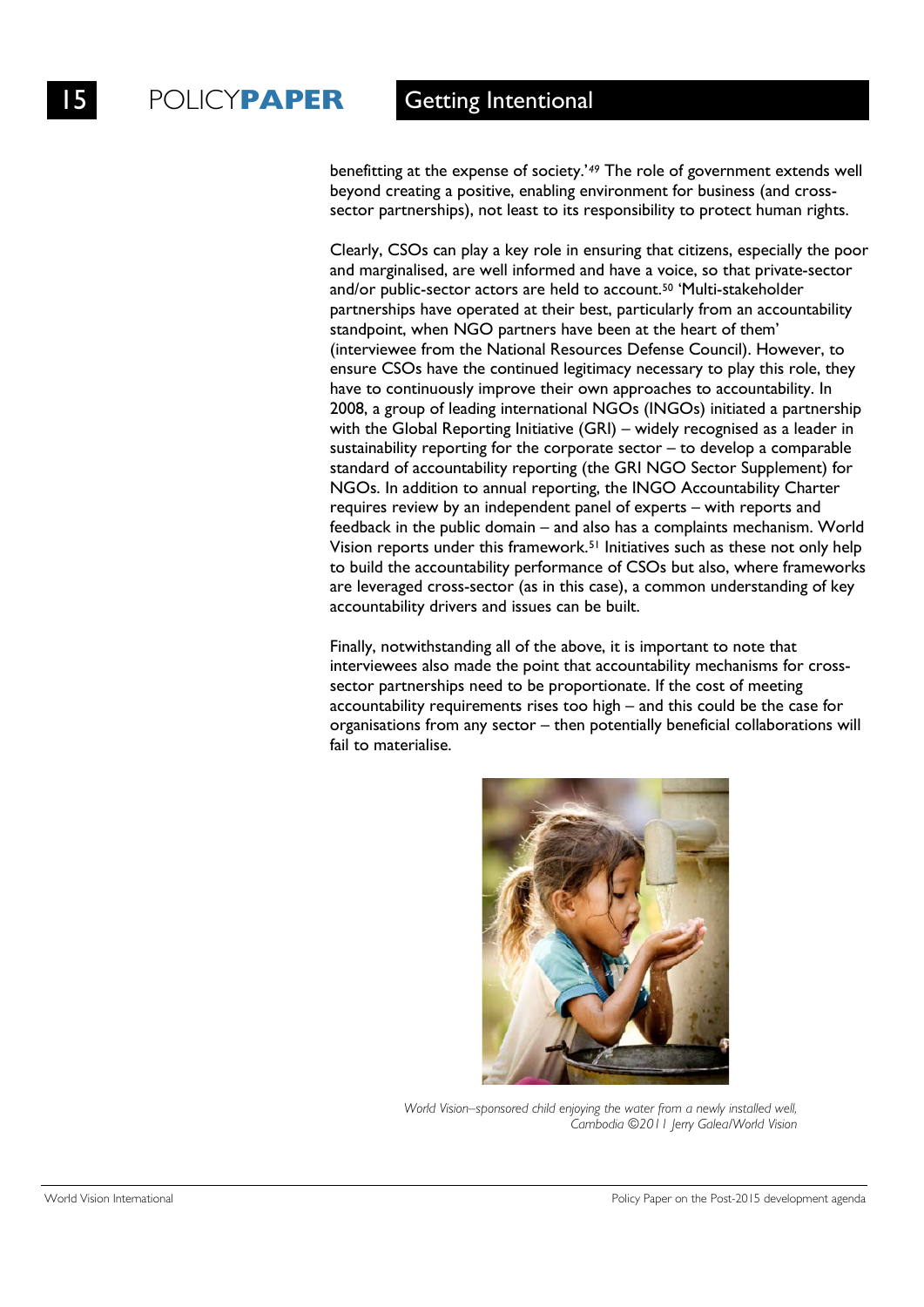benefitting at the expense of society.'*<sup>49</sup>* The role of government extends well beyond creating a positive, enabling environment for business (and crosssector partnerships), not least to its responsibility to protect human rights.

Clearly, CSOs can play a key role in ensuring that citizens, especially the poor and marginalised, are well informed and have a voice, so that private-sector and/or public-sector actors are held to account.50 'Multi-stakeholder partnerships have operated at their best, particularly from an accountability standpoint, when NGO partners have been at the heart of them' (interviewee from the National Resources Defense Council). However, to ensure CSOs have the continued legitimacy necessary to play this role, they have to continuously improve their own approaches to accountability. In 2008, a group of leading international NGOs (INGOs) initiated a partnership with the Global Reporting Initiative (GRI) – widely recognised as a leader in sustainability reporting for the corporate sector – to develop a comparable standard of accountability reporting (the GRI NGO Sector Supplement) for NGOs. In addition to annual reporting, the INGO Accountability Charter requires review by an independent panel of experts – with reports and feedback in the public domain – and also has a complaints mechanism. World Vision reports under this framework.51 Initiatives such as these not only help to build the accountability performance of CSOs but also, where frameworks are leveraged cross-sector (as in this case), a common understanding of key accountability drivers and issues can be built.

Finally, notwithstanding all of the above, it is important to note that interviewees also made the point that accountability mechanisms for crosssector partnerships need to be proportionate. If the cost of meeting accountability requirements rises too high – and this could be the case for organisations from any sector – then potentially beneficial collaborations will fail to materialise.



*World Vision–sponsored child enjoying the water from a newly installed well, Cambodia ©2011 Jerry Galea/World Vision*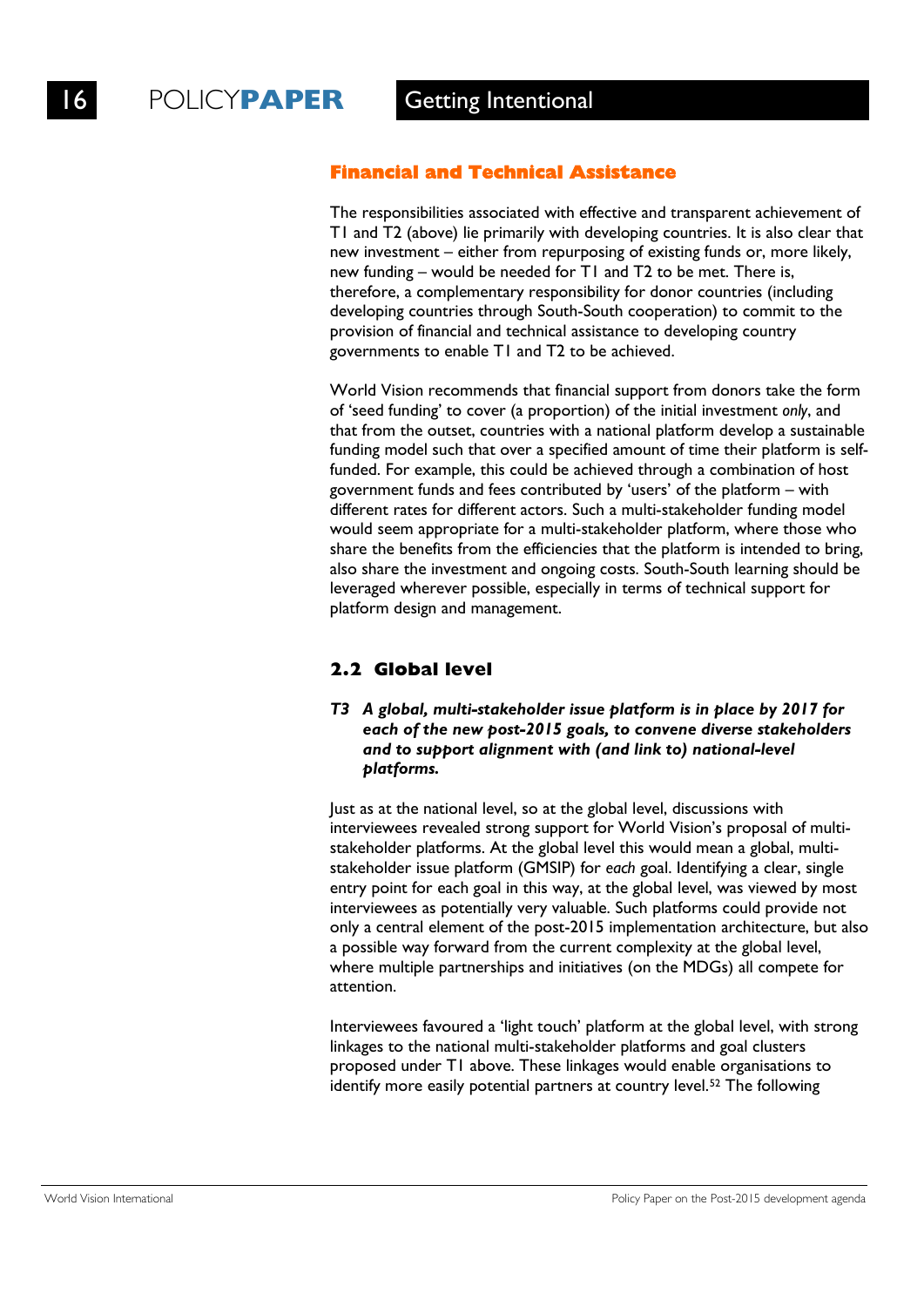### **Financial and Technical Assistance**

The responsibilities associated with effective and transparent achievement of T1 and T2 (above) lie primarily with developing countries. It is also clear that new investment – either from repurposing of existing funds or, more likely, new funding – would be needed for T1 and T2 to be met. There is, therefore, a complementary responsibility for donor countries (including developing countries through South-South cooperation) to commit to the provision of financial and technical assistance to developing country governments to enable T1 and T2 to be achieved.

World Vision recommends that financial support from donors take the form of 'seed funding' to cover (a proportion) of the initial investment *only*, and that from the outset, countries with a national platform develop a sustainable funding model such that over a specified amount of time their platform is selffunded. For example, this could be achieved through a combination of host government funds and fees contributed by 'users' of the platform – with different rates for different actors. Such a multi-stakeholder funding model would seem appropriate for a multi-stakeholder platform, where those who share the benefits from the efficiencies that the platform is intended to bring, also share the investment and ongoing costs. South-South learning should be leveraged wherever possible, especially in terms of technical support for platform design and management.

## **2.2 Global level**

### *T3 A global, multi-stakeholder issue platform is in place by 2017 for each of the new post-2015 goals, to convene diverse stakeholders and to support alignment with (and link to) national-level platforms.*

Just as at the national level, so at the global level, discussions with interviewees revealed strong support for World Vision's proposal of multistakeholder platforms. At the global level this would mean a global, multistakeholder issue platform (GMSIP) for *each* goal. Identifying a clear, single entry point for each goal in this way, at the global level, was viewed by most interviewees as potentially very valuable. Such platforms could provide not only a central element of the post-2015 implementation architecture, but also a possible way forward from the current complexity at the global level, where multiple partnerships and initiatives (on the MDGs) all compete for attention.

Interviewees favoured a 'light touch' platform at the global level, with strong linkages to the national multi-stakeholder platforms and goal clusters proposed under T1 above. These linkages would enable organisations to identify more easily potential partners at country level.<sup>52</sup> The following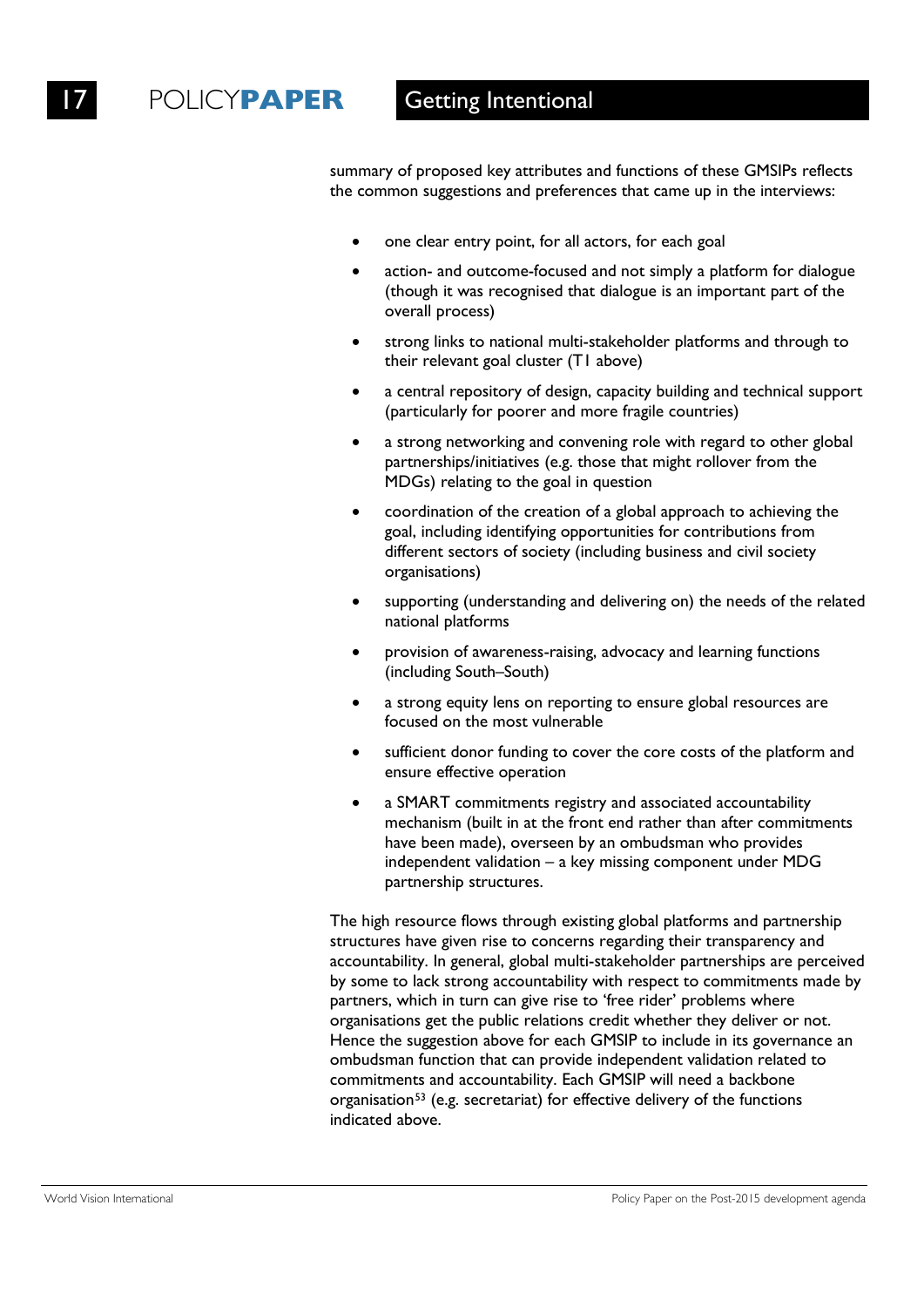summary of proposed key attributes and functions of these GMSIPs reflects the common suggestions and preferences that came up in the interviews:

- one clear entry point, for all actors, for each goal
- action- and outcome-focused and not simply a platform for dialogue (though it was recognised that dialogue is an important part of the overall process)
- strong links to national multi-stakeholder platforms and through to their relevant goal cluster (T1 above)
- a central repository of design, capacity building and technical support (particularly for poorer and more fragile countries)
- a strong networking and convening role with regard to other global partnerships/initiatives (e.g. those that might rollover from the MDGs) relating to the goal in question
- coordination of the creation of a global approach to achieving the goal, including identifying opportunities for contributions from different sectors of society (including business and civil society organisations)
- supporting (understanding and delivering on) the needs of the related national platforms
- provision of awareness-raising, advocacy and learning functions (including South–South)
- a strong equity lens on reporting to ensure global resources are focused on the most vulnerable
- sufficient donor funding to cover the core costs of the platform and ensure effective operation
- a SMART commitments registry and associated accountability mechanism (built in at the front end rather than after commitments have been made), overseen by an ombudsman who provides independent validation – a key missing component under MDG partnership structures.

The high resource flows through existing global platforms and partnership structures have given rise to concerns regarding their transparency and accountability. In general, global multi-stakeholder partnerships are perceived by some to lack strong accountability with respect to commitments made by partners, which in turn can give rise to 'free rider' problems where organisations get the public relations credit whether they deliver or not. Hence the suggestion above for each GMSIP to include in its governance an ombudsman function that can provide independent validation related to commitments and accountability. Each GMSIP will need a backbone organisation<sup>53</sup> (e.g. secretariat) for effective delivery of the functions indicated above.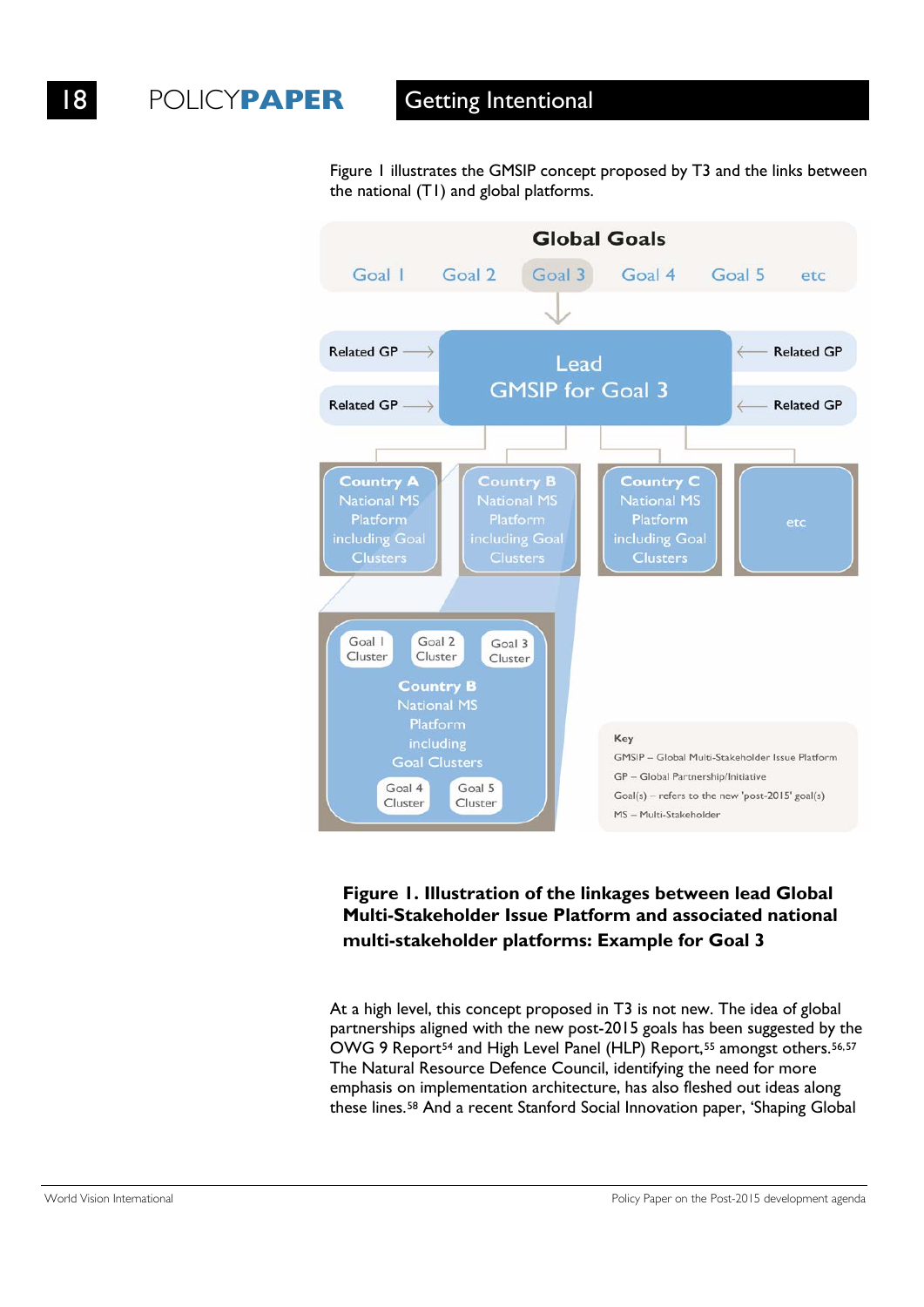Figure 1 illustrates the GMSIP concept proposed by T3 and the links between the national (T1) and global platforms.



## **Figure 1. Illustration of the linkages between lead Global Multi-Stakeholder Issue Platform and associated national multi-stakeholder platforms: Example for Goal 3**

At a high level, this concept proposed in T3 is not new. The idea of global partnerships aligned with the new post-2015 goals has been suggested by the OWG 9 Report<sup>54</sup> and High Level Panel (HLP) Report,<sup>55</sup> amongst others.<sup>56,57</sup> The Natural Resource Defence Council, identifying the need for more emphasis on implementation architecture, has also fleshed out ideas along these lines.58 And a recent Stanford Social Innovation paper, 'Shaping Global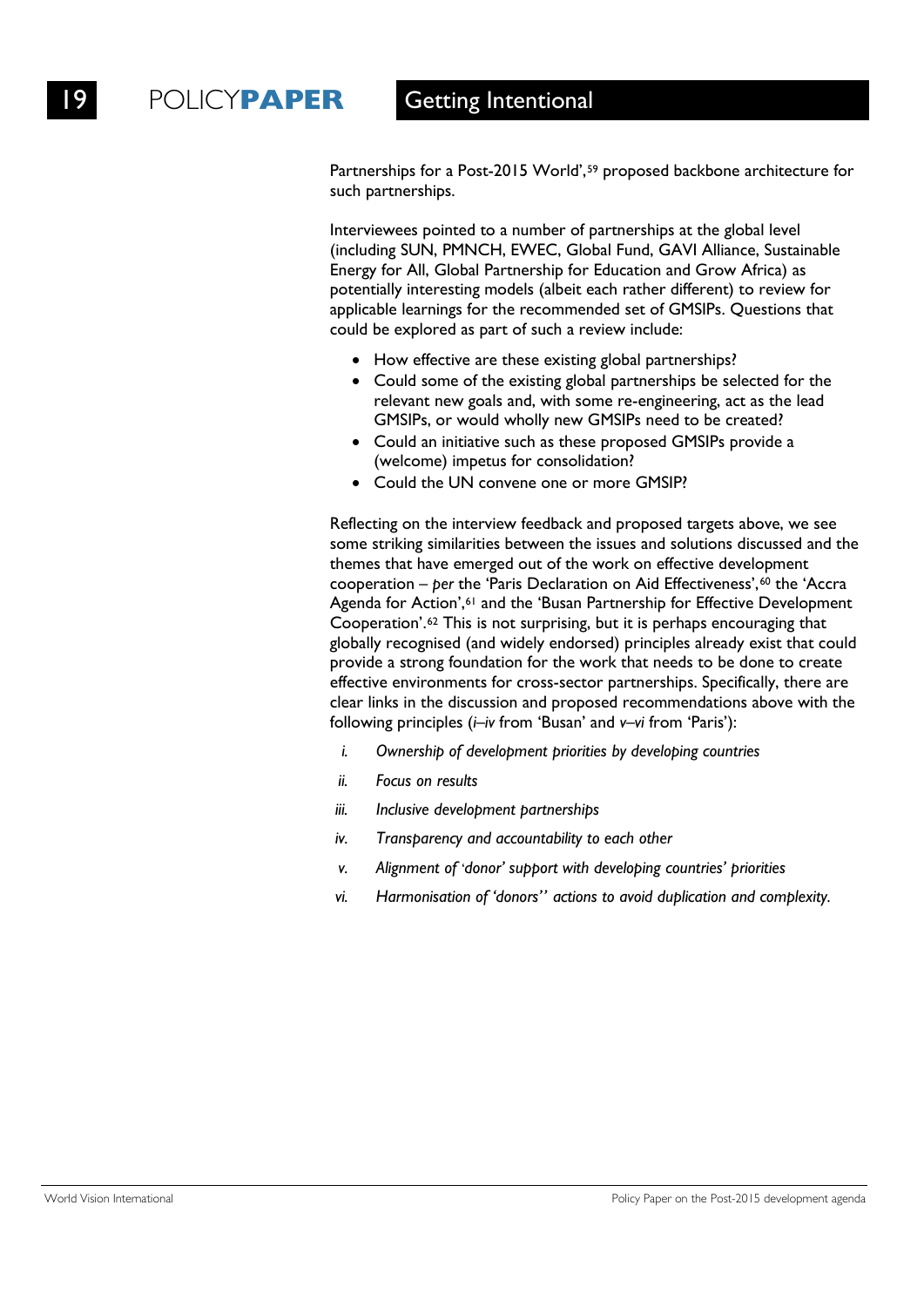Partnerships for a Post-2015 World',<sup>59</sup> proposed backbone architecture for such partnerships.

Interviewees pointed to a number of partnerships at the global level (including SUN, PMNCH, EWEC, Global Fund, GAVI Alliance, Sustainable Energy for All, Global Partnership for Education and Grow Africa) as potentially interesting models (albeit each rather different) to review for applicable learnings for the recommended set of GMSIPs. Questions that could be explored as part of such a review include:

- How effective are these existing global partnerships?
- Could some of the existing global partnerships be selected for the relevant new goals and, with some re-engineering, act as the lead GMSIPs, or would wholly new GMSIPs need to be created?
- Could an initiative such as these proposed GMSIPs provide a (welcome) impetus for consolidation?
- Could the UN convene one or more GMSIP?

Reflecting on the interview feedback and proposed targets above, we see some striking similarities between the issues and solutions discussed and the themes that have emerged out of the work on effective development cooperation – *per* the 'Paris Declaration on Aid Effectiveness',<sup>60</sup> the 'Accra Agenda for Action',<sup>61</sup> and the 'Busan Partnership for Effective Development Cooperation'.62 This is not surprising, but it is perhaps encouraging that globally recognised (and widely endorsed) principles already exist that could provide a strong foundation for the work that needs to be done to create effective environments for cross-sector partnerships. Specifically, there are clear links in the discussion and proposed recommendations above with the following principles (*i–iv* from 'Busan' and *v–vi* from 'Paris'):

- *i. Ownership of development priorities by developing countries*
- *ii. Focus on results*
- *iii. Inclusive development partnerships*
- *iv. Transparency and accountability to each other*
- *v. Alignment of* '*donor' support with developing countries' priorities*
- *vi. Harmonisation of 'donors'' actions to avoid duplication and complexity.*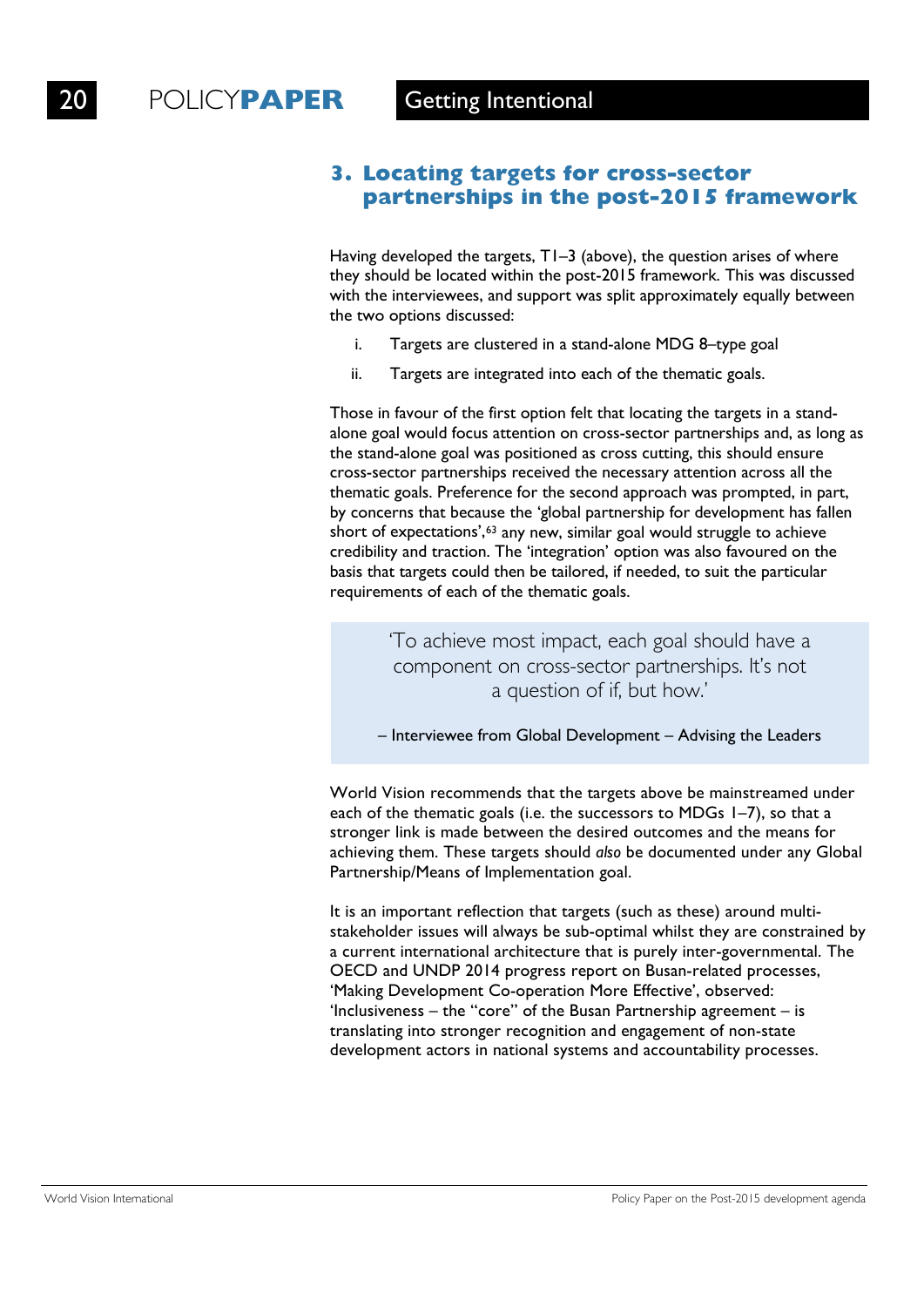### **3. Locating targets for cross-sector partnerships in the post-2015 framework**

Having developed the targets, T1–3 (above), the question arises of where they should be located within the post-2015 framework. This was discussed with the interviewees, and support was split approximately equally between the two options discussed:

- i. Targets are clustered in a stand-alone MDG 8–type goal
- ii. Targets are integrated into each of the thematic goals.

Those in favour of the first option felt that locating the targets in a standalone goal would focus attention on cross-sector partnerships and, as long as the stand-alone goal was positioned as cross cutting, this should ensure cross-sector partnerships received the necessary attention across all the thematic goals. Preference for the second approach was prompted, in part, by concerns that because the 'global partnership for development has fallen short of expectations',<sup>63</sup> any new, similar goal would struggle to achieve credibility and traction. The 'integration' option was also favoured on the basis that targets could then be tailored, if needed, to suit the particular requirements of each of the thematic goals.

> 'To achieve most impact, each goal should have a component on cross-sector partnerships. It's not a question of if, but how.'

– Interviewee from Global Development – Advising the Leaders

World Vision recommends that the targets above be mainstreamed under each of the thematic goals (i.e. the successors to MDGs 1–7), so that a stronger link is made between the desired outcomes and the means for achieving them. These targets should *also* be documented under any Global Partnership/Means of Implementation goal.

It is an important reflection that targets (such as these) around multistakeholder issues will always be sub-optimal whilst they are constrained by a current international architecture that is purely inter-governmental. The OECD and UNDP 2014 progress report on Busan-related processes, 'Making Development Co-operation More Effective', observed: 'Inclusiveness – the "core" of the Busan Partnership agreement – is translating into stronger recognition and engagement of non-state development actors in national systems and accountability processes.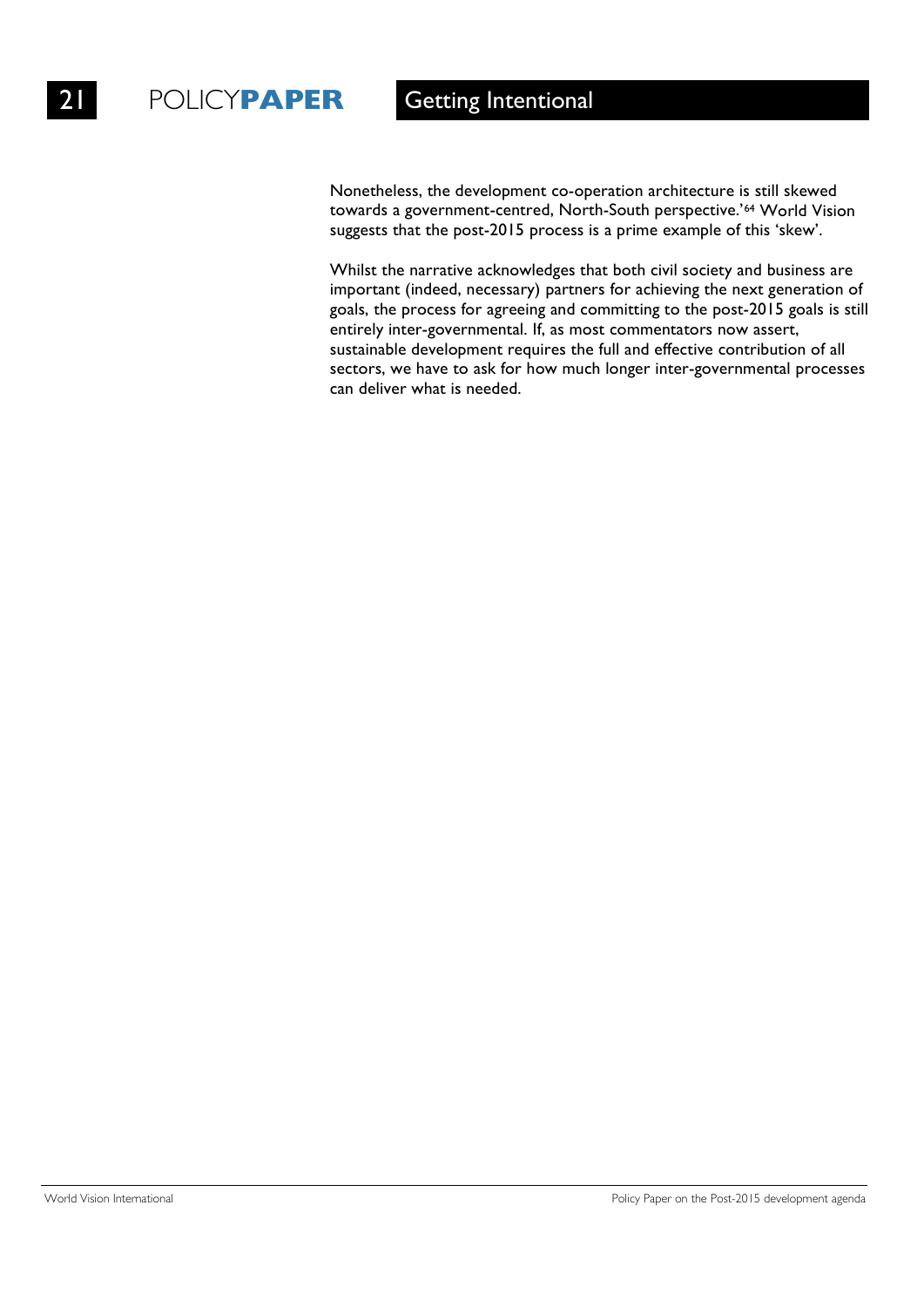Nonetheless, the development co-operation architecture is still skewed towards a government-centred, North-South perspective.'64 World Vision suggests that the post-2015 process is a prime example of this 'skew'.

Whilst the narrative acknowledges that both civil society and business are important (indeed, necessary) partners for achieving the next generation of goals, the process for agreeing and committing to the post-2015 goals is still entirely inter-governmental. If, as most commentators now assert, sustainable development requires the full and effective contribution of all sectors, we have to ask for how much longer inter-governmental processes can deliver what is needed.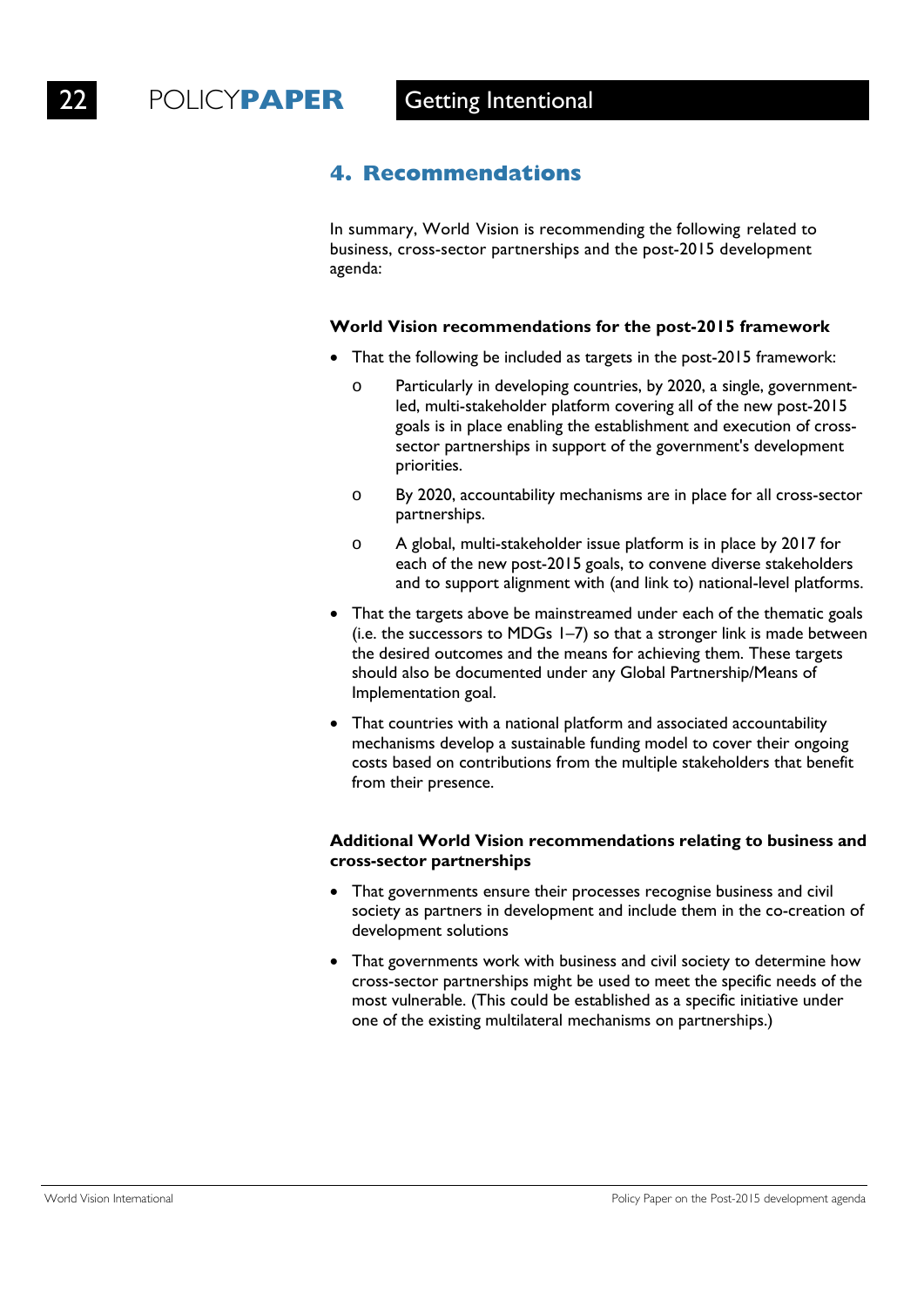# **4. Recommendations**

In summary, World Vision is recommending the following related to business, cross-sector partnerships and the post-2015 development agenda:

### **World Vision recommendations for the post-2015 framework**

- That the following be included as targets in the post-2015 framework:
	- o Particularly in developing countries, by 2020, a single, governmentled, multi-stakeholder platform covering all of the new post-2015 goals is in place enabling the establishment and execution of crosssector partnerships in support of the government's development priorities.
	- o By 2020, accountability mechanisms are in place for all cross-sector partnerships.
	- o A global, multi-stakeholder issue platform is in place by 2017 for each of the new post-2015 goals, to convene diverse stakeholders and to support alignment with (and link to) national-level platforms.
- That the targets above be mainstreamed under each of the thematic goals (i.e. the successors to MDGs 1–7) so that a stronger link is made between the desired outcomes and the means for achieving them. These targets should also be documented under any Global Partnership/Means of Implementation goal.
- That countries with a national platform and associated accountability mechanisms develop a sustainable funding model to cover their ongoing costs based on contributions from the multiple stakeholders that benefit from their presence.

### **Additional World Vision recommendations relating to business and cross-sector partnerships**

- That governments ensure their processes recognise business and civil society as partners in development and include them in the co-creation of development solutions
- That governments work with business and civil society to determine how cross-sector partnerships might be used to meet the specific needs of the most vulnerable. (This could be established as a specific initiative under one of the existing multilateral mechanisms on partnerships.)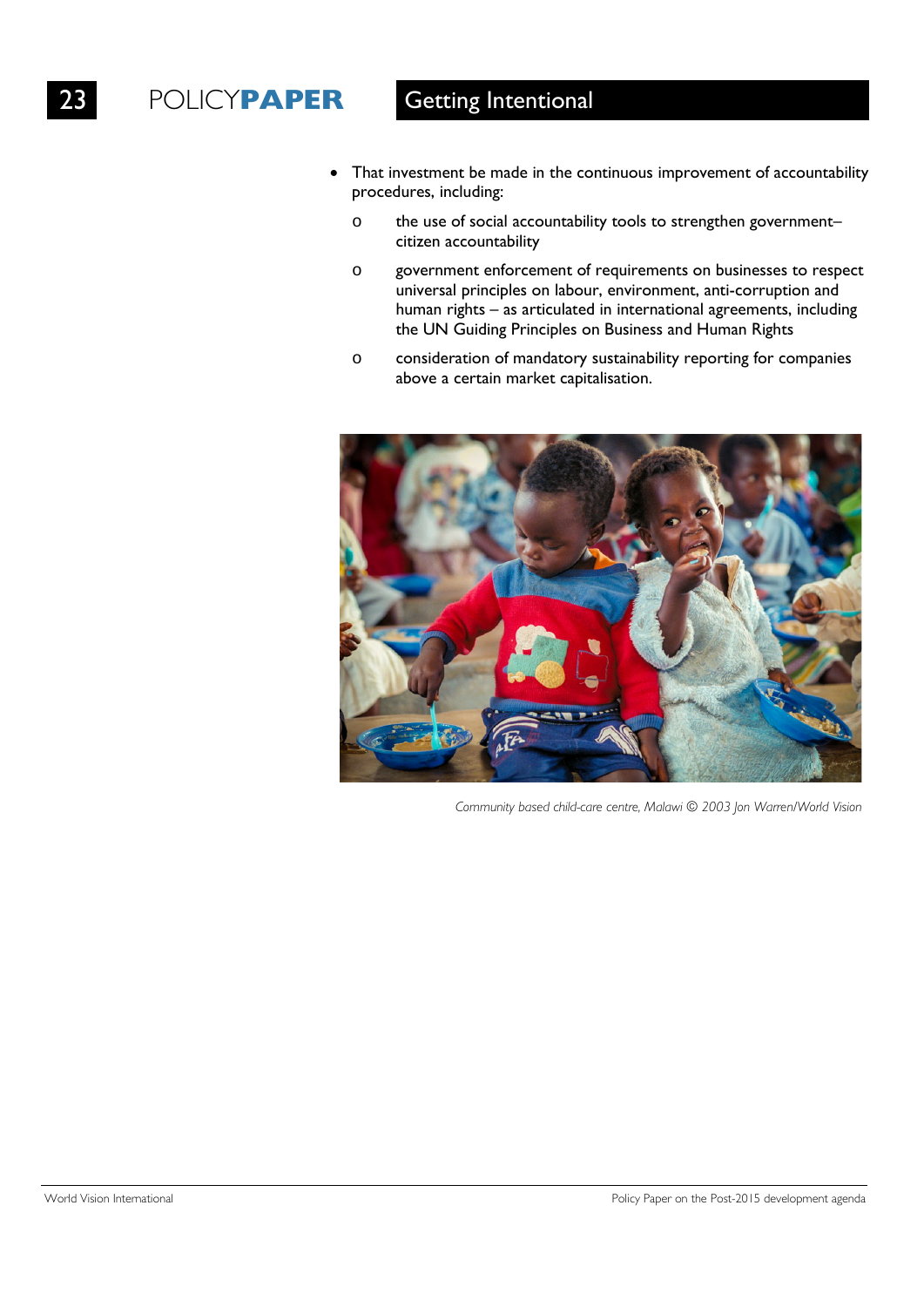- That investment be made in the continuous improvement of accountability procedures, including:
	- o the use of social accountability tools to strengthen government– citizen accountability
	- o government enforcement of requirements on businesses to respect universal principles on labour, environment, anti-corruption and human rights – as articulated in international agreements, including the UN Guiding Principles on Business and Human Rights
	- o consideration of mandatory sustainability reporting for companies above a certain market capitalisation.



*Community based child-care centre, Malawi © 2003 Jon Warren/World Vision*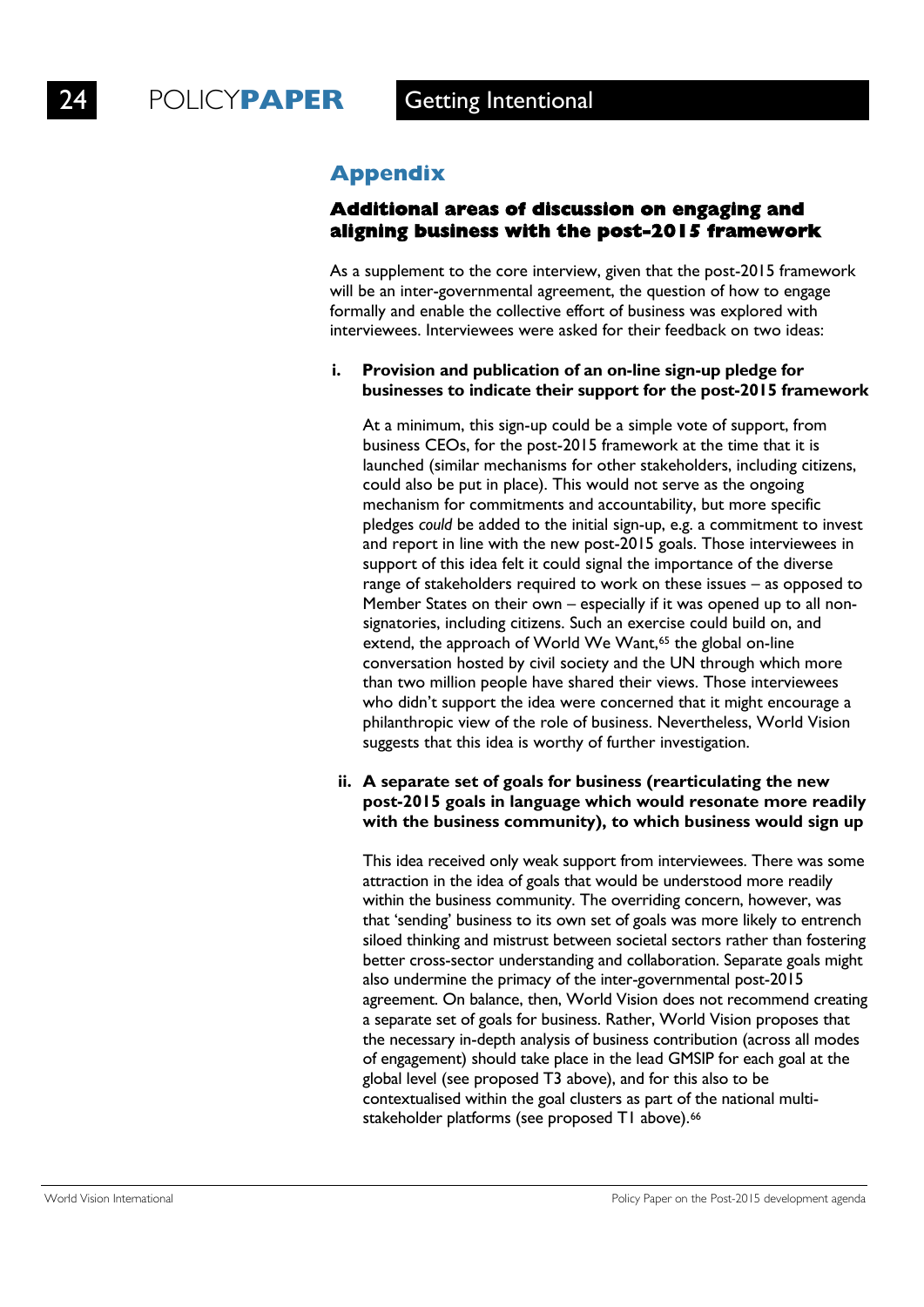## **Appendix**

### **Additional areas of discussion on engaging and aligning business with the post-2015 framework**

As a supplement to the core interview, given that the post-2015 framework will be an inter-governmental agreement, the question of how to engage formally and enable the collective effort of business was explored with interviewees. Interviewees were asked for their feedback on two ideas:

### **i. Provision and publication of an on-line sign-up pledge for businesses to indicate their support for the post-2015 framework**

At a minimum, this sign-up could be a simple vote of support, from business CEOs, for the post-2015 framework at the time that it is launched (similar mechanisms for other stakeholders, including citizens, could also be put in place). This would not serve as the ongoing mechanism for commitments and accountability, but more specific pledges *could* be added to the initial sign-up, e.g. a commitment to invest and report in line with the new post-2015 goals. Those interviewees in support of this idea felt it could signal the importance of the diverse range of stakeholders required to work on these issues – as opposed to Member States on their own – especially if it was opened up to all nonsignatories, including citizens. Such an exercise could build on, and extend, the approach of World We Want,<sup>65</sup> the global on-line conversation hosted by civil society and the UN through which more than two million people have shared their views. Those interviewees who didn't support the idea were concerned that it might encourage a philanthropic view of the role of business. Nevertheless, World Vision suggests that this idea is worthy of further investigation.

### **ii. A separate set of goals for business (rearticulating the new post-2015 goals in language which would resonate more readily with the business community), to which business would sign up**

This idea received only weak support from interviewees. There was some attraction in the idea of goals that would be understood more readily within the business community. The overriding concern, however, was that 'sending' business to its own set of goals was more likely to entrench siloed thinking and mistrust between societal sectors rather than fostering better cross-sector understanding and collaboration. Separate goals might also undermine the primacy of the inter-governmental post-2015 agreement. On balance, then, World Vision does not recommend creating a separate set of goals for business. Rather, World Vision proposes that the necessary in-depth analysis of business contribution (across all modes of engagement) should take place in the lead GMSIP for each goal at the global level (see proposed T3 above), and for this also to be contextualised within the goal clusters as part of the national multistakeholder platforms (see proposed T1 above).<sup>66</sup>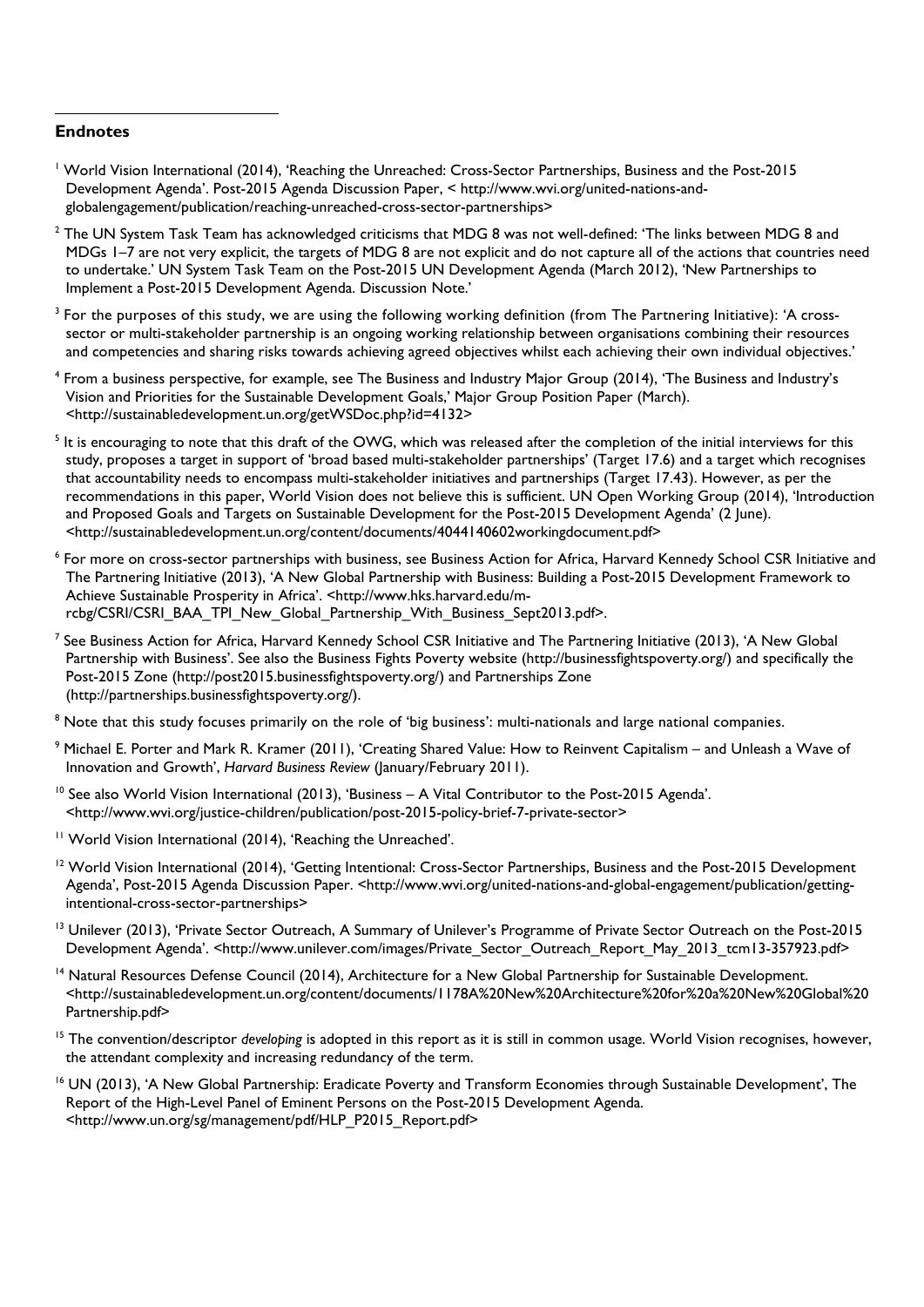### **Endnotes**

 $\ddot{\phantom{a}}$ 

- <sup>1</sup> World Vision International (2014), 'Reaching the Unreached: Cross-Sector Partnerships, Business and the Post-2015 Development Agenda'. Post-2015 Agenda Discussion Paper, < http://www.wvi.org/united-nations-andglobalengagement/publication/reaching-unreached-cross-sector-partnerships>
- $2$  The UN System Task Team has acknowledged criticisms that MDG 8 was not well-defined: 'The links between MDG 8 and MDGs 1–7 are not very explicit, the targets of MDG 8 are not explicit and do not capture all of the actions that countries need to undertake.' UN System Task Team on the Post-2015 UN Development Agenda (March 2012), 'New Partnerships to Implement a Post-2015 Development Agenda. Discussion Note.'
- $3$  For the purposes of this study, we are using the following working definition (from The Partnering Initiative): 'A crosssector or multi-stakeholder partnership is an ongoing working relationship between organisations combining their resources and competencies and sharing risks towards achieving agreed objectives whilst each achieving their own individual objectives.'
- <sup>4</sup> From a business perspective, for example, see The Business and Industry Major Group (2014), 'The Business and Industry's Vision and Priorities for the Sustainable Development Goals,' Major Group Position Paper (March). <http://sustainabledevelopment.un.org/getWSDoc.php?id=4132>
- <sup>5</sup> It is encouraging to note that this draft of the OWG, which was released after the completion of the initial interviews for this study, proposes a target in support of 'broad based multi-stakeholder partnerships' (Target 17.6) and a target which recognises that accountability needs to encompass multi-stakeholder initiatives and partnerships (Target 17.43). However, as per the recommendations in this paper, World Vision does not believe this is sufficient. UN Open Working Group (2014), 'Introduction and Proposed Goals and Targets on Sustainable Development for the Post-2015 Development Agenda' (2 June). <http://sustainabledevelopment.un.org/content/documents/4044140602workingdocument.pdf>
- <sup>6</sup> For more on cross-sector partnerships with business, see Business Action for Africa, Harvard Kennedy School CSR Initiative and The Partnering Initiative (2013), 'A New Global Partnership with Business: Building a Post-2015 Development Framework to Achieve Sustainable Prosperity in Africa'. [<http://www.hks.harvard.edu/m](http://www.hks.harvard.edu/m-rcbg/CSRI/CSRI_BAA_TPI_New_Global_Partnership_With_Business_Sept2013.pdf)[rcbg/CSRI/CSRI\\_BAA\\_TPI\\_New\\_Global\\_Partnership\\_With\\_Business\\_Sept2013.pdf>](http://www.hks.harvard.edu/m-rcbg/CSRI/CSRI_BAA_TPI_New_Global_Partnership_With_Business_Sept2013.pdf).
- $^7$  See Business Action for Africa, Harvard Kennedy School CSR Initiative and The Partnering Initiative (2013), 'A New Global Partnership with Business'. See also the Business Fights Poverty website (http://businessfightspoverty.org/) and specifically the Post-2015 Zone (http://post2015.businessfightspoverty.org/) and Partnerships Zone (http://partnerships.businessfightspoverty.org/).
- <sup>8</sup> Note that this study focuses primarily on the role of 'big business': multi-nationals and large national companies.
- <sup>9</sup> Michael E. Porter and Mark R. Kramer (2011), 'Creating Shared Value: How to Reinvent Capitalism and Unleash a Wave of Innovation and Growth', *Harvard Business Review* (January/February 2011).
- <sup>10</sup> See also World Vision International (2013), 'Business A Vital Contributor to the Post-2015 Agenda'. <http://www.wvi.org/justice-children/publication/post-2015-policy-brief-7-private-sector>
- <sup>11</sup> World Vision International (2014), 'Reaching the Unreached'.
- <sup>12</sup> World Vision International (2014), 'Getting Intentional: Cross-Sector Partnerships, Business and the Post-2015 Development Agenda', Post-2015 Agenda Discussion Paper. <http://www.wvi.org/united-nations-and-global-engagement/publication/gettingintentional-cross-sector-partnerships>
- <sup>13</sup> Unilever (2013), 'Private Sector Outreach, A Summary of Unilever's Programme of Private Sector Outreach on the Post-2015 Development Agenda'. <http://www.unilever.com/images/Private\_Sector\_Outreach\_Report\_May\_2013\_tcm13-357923.pdf>
- <sup>14</sup> Natural Resources Defense Council (2014), Architecture for a New Global Partnership for Sustainable Development. <http://sustainabledevelopment.un.org/content/documents/1178A%20New%20Architecture%20for%20a%20New%20Global%20 Partnership.pdf>
- <sup>15</sup> The convention/descriptor *developing* is adopted in this report as it is still in common usage. World Vision recognises, however, the attendant complexity and increasing redundancy of the term.
- <sup>16</sup> UN (2013), 'A New Global Partnership: Eradicate Poverty and Transform Economies through Sustainable Development', The Report of the High-Level Panel of Eminent Persons on the Post-2015 Development Agenda. [<http://www.un.org/sg/management/pdf/HLP\\_P2015\\_Report.pdf>](http://www.un.org/sg/management/pdf/HLP_P2015_Report.pdf)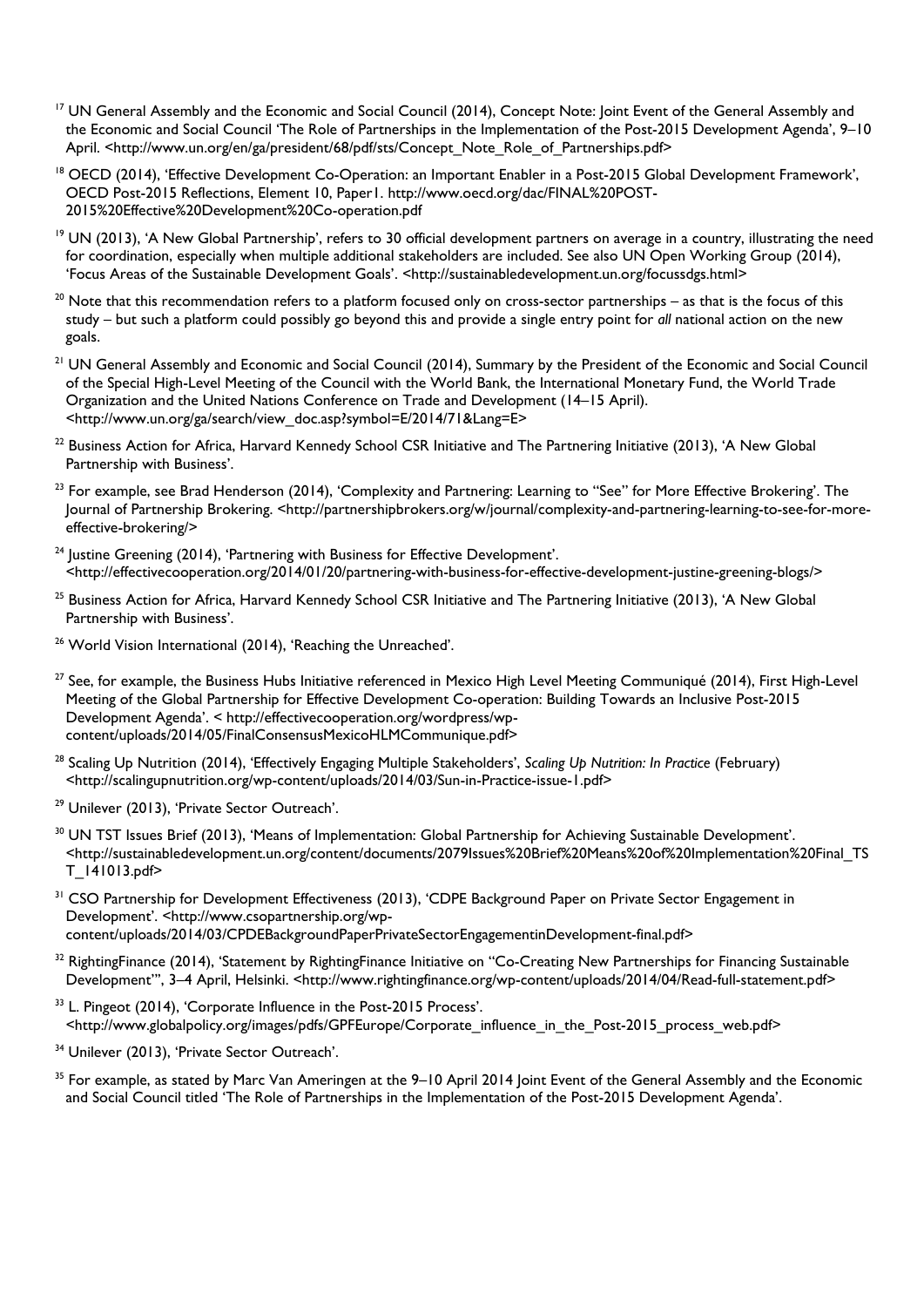- <sup>17</sup> UN General Assembly and the Economic and Social Council (2014), Concept Note: Joint Event of the General Assembly and the Economic and Social Council 'The Role of Partnerships in the Implementation of the Post-2015 Development Agenda', 9–10 April. <http://www.un.org/en/ga/president/68/pdf/sts/Concept\_Note\_Role\_of\_Partnerships.pdf>
- <span id="page-29-0"></span><sup>18</sup> OECD (2014), 'Effective Development Co-Operation: an Important Enabler in a Post-2015 Global Development Framework', OECD Post-2015 Reflections, Element 10, Paper1. http://www.oecd.org/dac/FINAL%20POST-2015%20Effective%20Development%20Co-operation.pdf
- <sup>19</sup> UN (2013), 'A New Global Partnership', refers to 30 official development partners on average in a country, illustrating the need for coordination, especially when multiple additional stakeholders are included. See also UN Open Working Group (2014), 'Focus Areas of the Sustainable Development Goals'. <http://sustainabledevelopment.un.org/focussdgs.html>
- $20$  Note that this recommendation refers to a platform focused only on cross-sector partnerships as that is the focus of this study – but such a platform could possibly go beyond this and provide a single entry point for *all* national action on the new goals.
- <sup>21</sup> UN General Assembly and Economic and Social Council (2014), Summary by the President of the Economic and Social Council of the Special High-Level Meeting of the Council with the World Bank, the International Monetary Fund, the World Trade Organization and the United Nations Conference on Trade and Development (14–15 April). <http://www.un.org/ga/search/view\_doc.asp?symbol=E/2014/71&Lang=E>
- <sup>22</sup> Business Action for Africa, Harvard Kennedy School CSR Initiative and The Partnering Initiative (2013), 'A New Global Partnership with Business'.
- <sup>23</sup> For example, see Brad Henderson (2014), 'Complexity and Partnering: Learning to "See" for More Effective Brokering'. The Journal of Partnership Brokering. <http://partnershipbrokers.org/w/journal/complexity-and-partnering-learning-to-see-for-moreeffective-brokering/>
- <sup>24</sup> Justine Greening (2014), 'Partnering with Business for Effective Development'. <http://effectivecooperation.org/2014/01/20/partnering-with-business-for-effective-development-justine-greening-blogs/>
- <sup>25</sup> Business Action for Africa, Harvard Kennedy School CSR Initiative and The Partnering Initiative (2013), 'A New Global Partnership with Business'.
- <sup>26</sup> World Vision International (2014), 'Reaching the Unreached'.
- <sup>27</sup> See, for example, the Business Hubs Initiative referenced in Mexico High Level Meeting Communiqué (2014), First High-Level Meeting of the Global Partnership for Effective Development Co-operation: Building Towards an Inclusive Post-2015 Development Agenda'. < http://effectivecooperation.org/wordpress/wpcontent/uploads/2014/05/FinalConsensusMexicoHLMCommunique.pdf>
- <sup>28</sup> Scaling Up Nutrition (2014), 'Effectively Engaging Multiple Stakeholders', *Scaling Up Nutrition: In Practice* (February) <http://scalingupnutrition.org/wp-content/uploads/2014/03/Sun-in-Practice-issue-1.pdf>
- <sup>29</sup> Unilever (2013), 'Private Sector Outreach'.
- <sup>30</sup> UN TST Issues Brief (2013), 'Means of Implementation: Global Partnership for Achieving Sustainable Development'. <http://sustainabledevelopment.un.org/content/documents/2079Issues%20Brief%20Means%20of%20Implementation%20Final\_TS T\_141013.pdf>
- <sup>31</sup> CSO Partnership for Development Effectiveness (2013), 'CDPE Background Paper on Private Sector Engagement in Development'. <http://www.csopartnership.org/wpcontent/uploads/2014/03/CPDEBackgroundPaperPrivateSectorEngagementinDevelopment-final.pdf>
- $32$  RightingFinance (2014), 'Statement by RightingFinance Initiative on "Co-Creating New Partnerships for Financing Sustainable Development"', 3–4 April, Helsinki. <http://www.rightingfinance.org/wp-content/uploads/2014/04/Read-full-statement.pdf>
- <sup>33</sup> L. Pingeot (2014), 'Corporate Influence in the Post-2015 Process'. <http://www.globalpolicy.org/images/pdfs/GPFEurope/Corporate\_influence\_in\_the\_Post-2015\_process\_web.pdf>
- <sup>34</sup> Unilever (2013), 'Private Sector Outreach'.
- <sup>35</sup> For example, as stated by Marc Van Ameringen at the 9–10 April 2014 Joint Event of the General Assembly and the Economic and Social Council titled 'The Role of Partnerships in the Implementation of the Post-2015 Development Agenda'.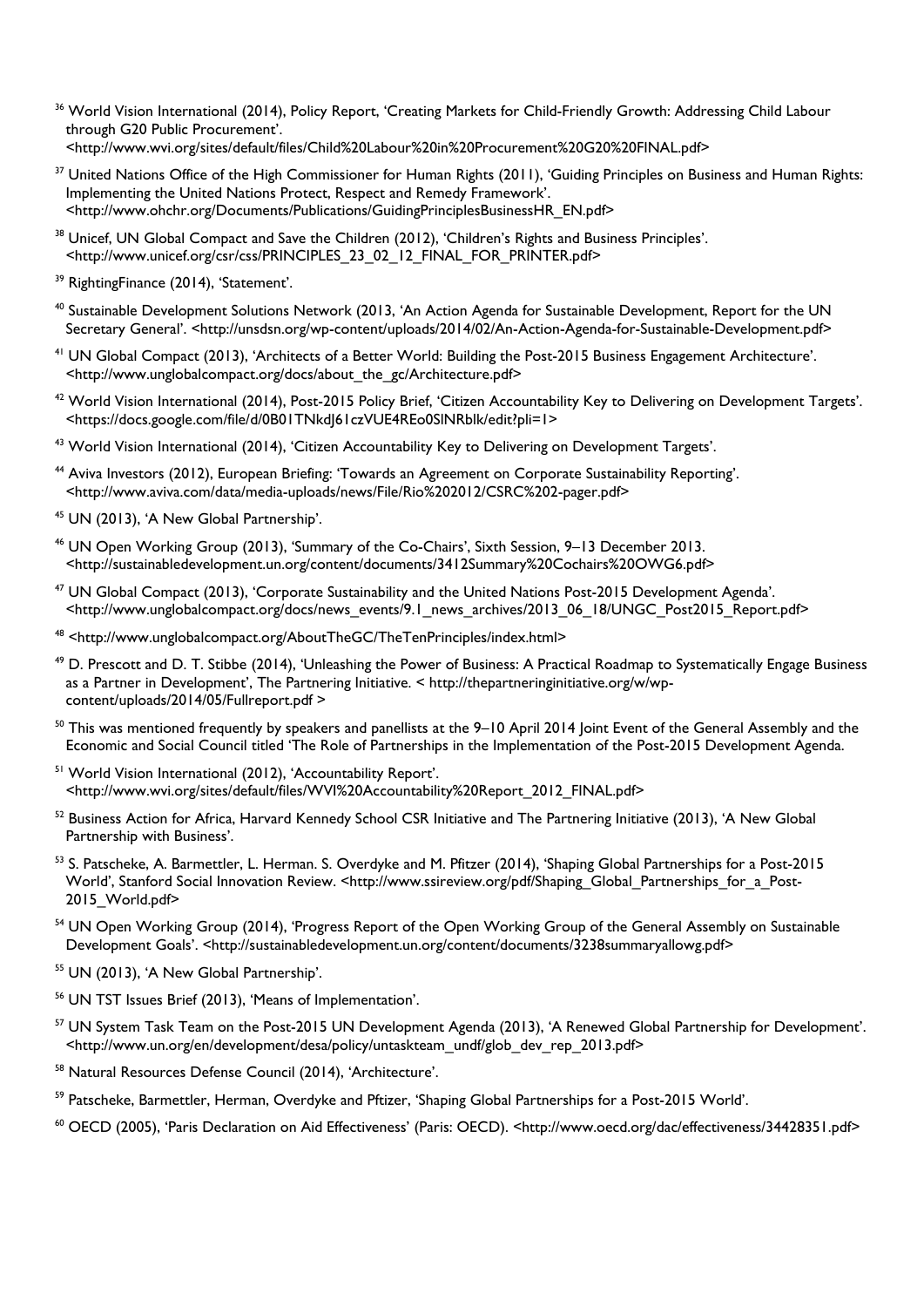- <sup>36</sup> World Vision International (2014), Policy Report, 'Creating Markets for Child-Friendly Growth: Addressing Child Labour through G20 Public Procurement'. [<http://www.wvi.org/sites/default/files/Child%20Labour%20in%20Procurement%20G20%20FINAL.pdf>](http://www.wvi.org/sites/default/files/Child%20Labour%20in%20Procurement%20G20%20FINAL.pdf)
- <sup>37</sup> United Nations Office of the High Commissioner for Human Rights (2011), 'Guiding Principles on Business and Human Rights: Implementing the United Nations Protect, Respect and Remedy Framework'. [<http://www.ohchr.org/Documents/Publications/GuidingPrinciplesBusinessHR\\_EN.pdf>](http://www.ohchr.org/Documents/Publications/GuidingPrinciplesBusinessHR_EN.pdf)
- <span id="page-30-0"></span><sup>38</sup> Unicef, UN Global Compact and Save the Children (2012), 'Children's Rights and Business Principles'. [<http://www.unicef.org/csr/css/PRINCIPLES\\_23\\_02\\_12\\_FINAL\\_FOR\\_PRINTER.pdf>](http://www.unicef.org/csr/css/PRINCIPLES_23_02_12_FINAL_FOR_PRINTER.pdf)
- <sup>39</sup> RightingFinance (2014), 'Statement',
- <span id="page-30-1"></span><sup>40</sup> Sustainable Development Solutions Network (2013, 'An Action Agenda for Sustainable Development, Report for the UN Secretary General'. [<http://unsdsn.org/wp-content/uploads/2014/02/An-Action-Agenda-for-Sustainable-Development.pdf>](http://unsdsn.org/wp-content/uploads/2014/02/An-Action-Agenda-for-Sustainable-Development.pdf)
- <sup>41</sup> UN Global Compact (2013), 'Architects of a Better World: Building the Post-2015 Business Engagement Architecture'. <http://www.unglobalcompact.org/docs/about\_the\_gc/Architecture.pdf>
- <span id="page-30-2"></span><sup>42</sup> World Vision International (2014), Post-2015 Policy Brief, 'Citizen Accountability Key to Delivering on Development Targets'. <https://docs.google.com/file/d/0B01TNkdJ61czVUE4REo0SlNRblk/edit?pli=1>
- <span id="page-30-3"></span><sup>43</sup> World Vision International (2014), 'Citizen Accountability Key to Delivering on Development Targets'.
- <sup>44</sup> Aviva Investors (2012), European Briefing: 'Towards an Agreement on Corporate Sustainability Reporting'. <http://www.aviva.com/data/media-uploads/news/File/Rio%202012/CSRC%202-pager.pdf>
- <sup>45</sup> UN (2013), 'A New Global Partnership'.
- <span id="page-30-4"></span><sup>46</sup> UN Open Working Group (2013), 'Summary of the Co-Chairs', Sixth Session, 9–13 December 2013. <http://sustainabledevelopment.un.org/content/documents/3412Summary%20Cochairs%20OWG6.pdf>
- <sup>47</sup> UN Global Compact (2013), 'Corporate Sustainability and the United Nations Post-2015 Development Agenda'. <http://www.unglobalcompact.org/docs/news\_events/9.1\_news\_archives/2013\_06\_18/UNGC\_Post2015\_Report.pdf>
- <span id="page-30-5"></span>48 <http://www.unglobalcompact.org/AboutTheGC/TheTenPrinciples/index.html>
- <sup>49</sup> D. Prescott and D. T. Stibbe (2014), 'Unleashing the Power of Business: A Practical Roadmap to Systematically Engage Business as a Partner in Development', The Partnering Initiative. < http://thepartneringinitiative.org/w/wpcontent/uploads/2014/05/Fullreport.pdf >
- <sup>50</sup> This was mentioned frequently by speakers and panellists at the 9–10 April 2014 Joint Event of the General Assembly and the Economic and Social Council titled 'The Role of Partnerships in the Implementation of the Post-2015 Development Agenda.
- <sup>51</sup> World Vision International (2012), 'Accountability Report'. <http://www.wvi.org/sites/default/files/WVI%20Accountability%20Report\_2012\_FINAL.pdf>
- <sup>52</sup> Business Action for Africa, Harvard Kennedy School CSR Initiative and The Partnering Initiative (2013), 'A New Global Partnership with Business'.
- <sup>53</sup> S. Patscheke, A. Barmettler, L. Herman. S. Overdyke and M. Pfitzer (2014), 'Shaping Global Partnerships for a Post-2015 World', Stanford Social Innovation Review. <http://www.ssireview.org/pdf/Shaping\_Global\_Partnerships\_for\_a\_Post-2015\_World.pdf>
- <sup>54</sup> UN Open Working Group (2014), 'Progress Report of the Open Working Group of the General Assembly on Sustainable Development Goals'. [<http://sustainabledevelopment.un.org/content/documents/3238summaryallowg.pdf>](http://sustainabledevelopment.un.org/content/documents/3238summaryallowg.pdf)
- <sup>55</sup> UN (2013), 'A New Global Partnership'.
- <sup>56</sup> UN TST Issues Brief (2013), 'Means of Implementation'.
- <sup>57</sup> UN System Task Team on the Post-2015 UN Development Agenda (2013), 'A Renewed Global Partnership for Development'. <http://www.un.org/en/development/desa/policy/untaskteam\_undf/glob\_dev\_rep\_2013.pdf>
- <sup>58</sup> Natural Resources Defense Council (2014), 'Architecture'.
- <sup>59</sup> Patscheke, Barmettler, Herman, Overdyke and Pftizer, 'Shaping Global Partnerships for a Post-2015 World'.
- <sup>60</sup> OECD (2005), 'Paris Declaration on Aid Effectiveness' (Paris: OECD). <http://www.oecd.org/dac/effectiveness/34428351.pdf>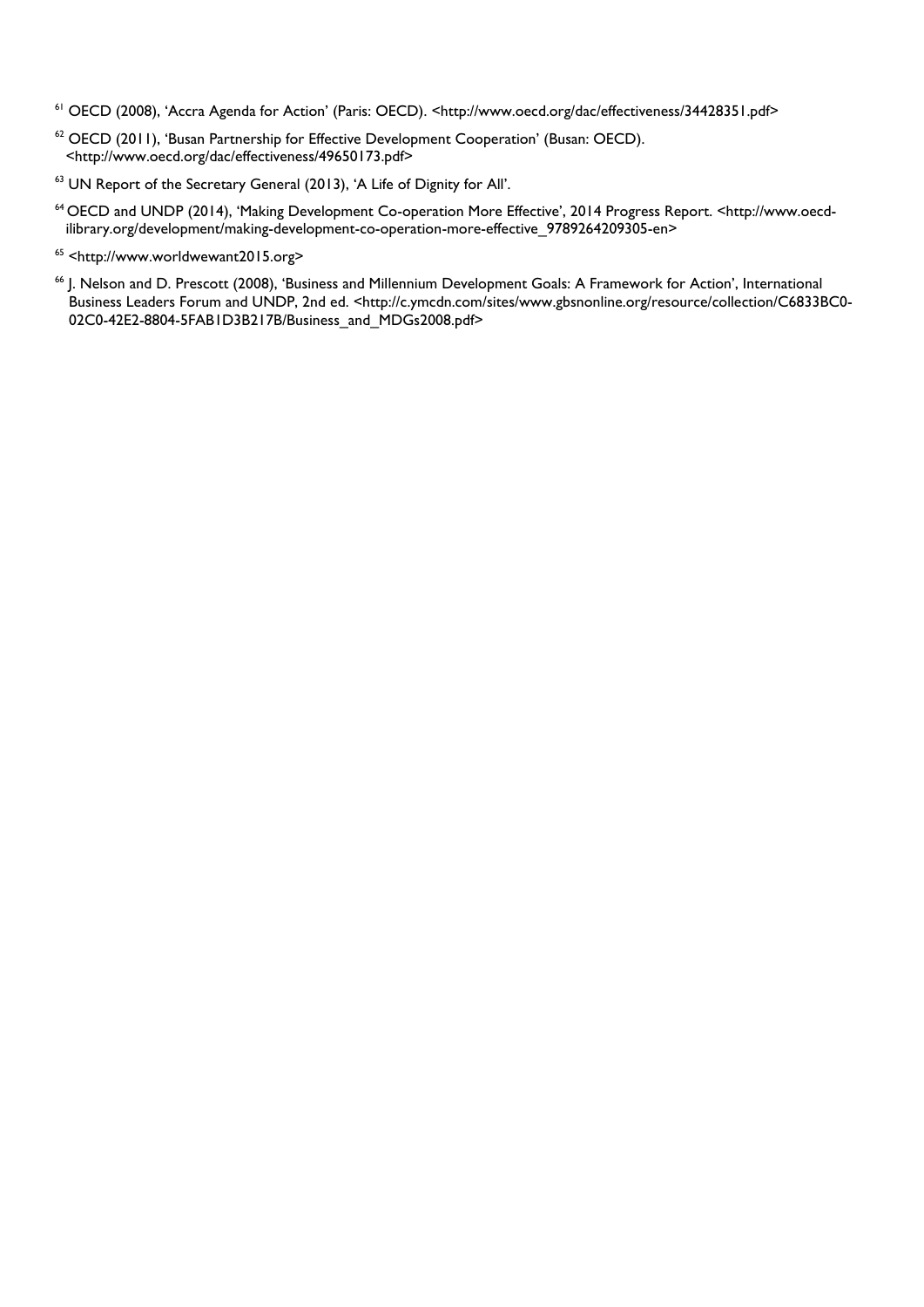- <sup>61</sup> OECD (2008), 'Accra Agenda for Action' (Paris: OECD). <http://www.oecd.org/dac/effectiveness/34428351.pdf>
- <sup>62</sup> OECD (2011), 'Busan Partnership for Effective Development Cooperation' (Busan: OECD). <http://www.oecd.org/dac/effectiveness/49650173.pdf>
- <sup>63</sup> UN Report of the Secretary General (2013), 'A Life of Dignity for All'.
- 64 OECD and UNDP (2014), 'Making Development Co-operation More Effective', 2014 Progress Report. <http://www.oecdilibrary.org/development/making-development-co-operation-more-effective\_9789264209305-en>
- 65 [<http://www.worldwewant2015.org>](http://www.worldwewant2015.org/)
- <span id="page-31-0"></span><sup>66</sup> J. Nelson and D. Prescott (2008), 'Business and Millennium Development Goals: A Framework for Action', International Business Leaders Forum and UNDP, 2nd ed. <http://c.ymcdn.com/sites/www.gbsnonline.org/resource/collection/C6833BC0- 02C0-42E2-8804-5FAB1D3B217B/Business\_and\_MDGs2008.pdf>